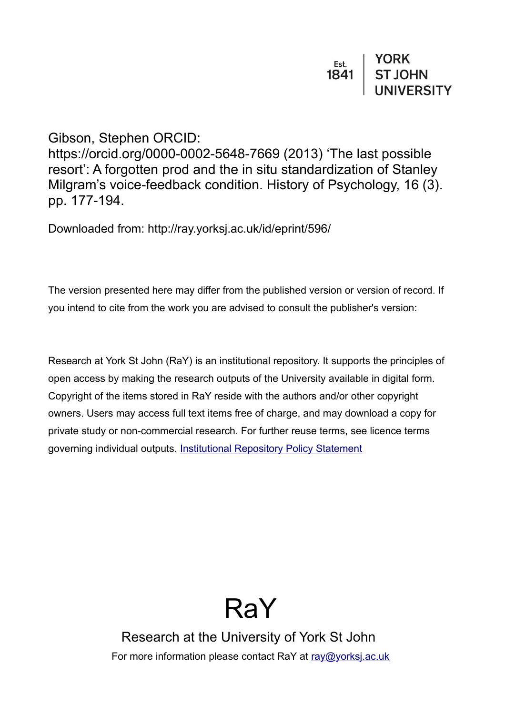# Gibson, Stephen ORCID:

https://orcid.org/0000-0002-5648-7669 (2013) 'The last possible resort': A forgotten prod and the in situ standardization of Stanley Milgram's voice-feedback condition. History of Psychology, 16 (3). pp. 177-194.

Downloaded from: http://ray.yorksj.ac.uk/id/eprint/596/

The version presented here may differ from the published version or version of record. If you intend to cite from the work you are advised to consult the publisher's version:

Research at York St John (RaY) is an institutional repository. It supports the principles of open access by making the research outputs of the University available in digital form. Copyright of the items stored in RaY reside with the authors and/or other copyright owners. Users may access full text items free of charge, and may download a copy for private study or non-commercial research. For further reuse terms, see licence terms governing individual outputs. [Institutional Repository Policy Statement](https://www.yorksj.ac.uk/ils/repository-policies/)



Research at the University of York St John For more information please contact RaY at [ray@yorksj.ac.uk](mailto:ray@yorksj.ac.uk)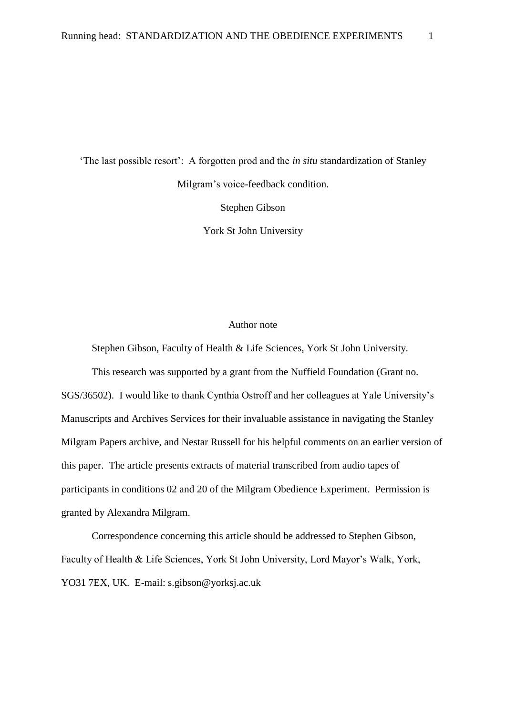'The last possible resort': A forgotten prod and the *in situ* standardization of Stanley Milgram's voice-feedback condition. Stephen Gibson

York St John University

# Author note

Stephen Gibson, Faculty of Health & Life Sciences, York St John University.

This research was supported by a grant from the Nuffield Foundation (Grant no. SGS/36502). I would like to thank Cynthia Ostroff and her colleagues at Yale University's Manuscripts and Archives Services for their invaluable assistance in navigating the Stanley Milgram Papers archive, and Nestar Russell for his helpful comments on an earlier version of this paper. The article presents extracts of material transcribed from audio tapes of participants in conditions 02 and 20 of the Milgram Obedience Experiment. Permission is granted by Alexandra Milgram.

Correspondence concerning this article should be addressed to Stephen Gibson, Faculty of Health & Life Sciences, York St John University, Lord Mayor's Walk, York, YO31 7EX, UK. E-mail: s.gibson@yorksj.ac.uk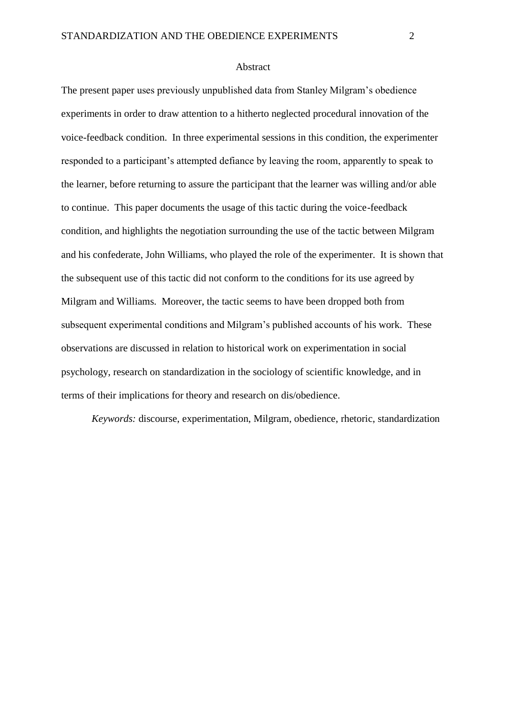#### Abstract

The present paper uses previously unpublished data from Stanley Milgram's obedience experiments in order to draw attention to a hitherto neglected procedural innovation of the voice-feedback condition. In three experimental sessions in this condition, the experimenter responded to a participant's attempted defiance by leaving the room, apparently to speak to the learner, before returning to assure the participant that the learner was willing and/or able to continue. This paper documents the usage of this tactic during the voice-feedback condition, and highlights the negotiation surrounding the use of the tactic between Milgram and his confederate, John Williams, who played the role of the experimenter. It is shown that the subsequent use of this tactic did not conform to the conditions for its use agreed by Milgram and Williams. Moreover, the tactic seems to have been dropped both from subsequent experimental conditions and Milgram's published accounts of his work. These observations are discussed in relation to historical work on experimentation in social psychology, research on standardization in the sociology of scientific knowledge, and in terms of their implications for theory and research on dis/obedience.

*Keywords:* discourse, experimentation, Milgram, obedience, rhetoric, standardization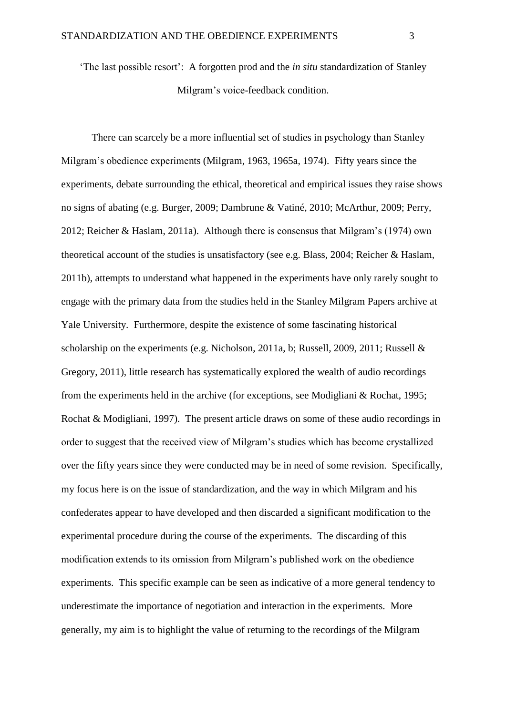'The last possible resort': A forgotten prod and the *in situ* standardization of Stanley Milgram's voice-feedback condition.

There can scarcely be a more influential set of studies in psychology than Stanley Milgram's obedience experiments (Milgram, 1963, 1965a, 1974). Fifty years since the experiments, debate surrounding the ethical, theoretical and empirical issues they raise shows no signs of abating (e.g. Burger, 2009; Dambrune & Vatiné, 2010; McArthur, 2009; Perry, 2012; Reicher & Haslam, 2011a). Although there is consensus that Milgram's (1974) own theoretical account of the studies is unsatisfactory (see e.g. Blass, 2004; Reicher & Haslam, 2011b), attempts to understand what happened in the experiments have only rarely sought to engage with the primary data from the studies held in the Stanley Milgram Papers archive at Yale University. Furthermore, despite the existence of some fascinating historical scholarship on the experiments (e.g. Nicholson, 2011a, b; Russell, 2009, 2011; Russell & Gregory, 2011), little research has systematically explored the wealth of audio recordings from the experiments held in the archive (for exceptions, see Modigliani & Rochat, 1995; Rochat & Modigliani, 1997). The present article draws on some of these audio recordings in order to suggest that the received view of Milgram's studies which has become crystallized over the fifty years since they were conducted may be in need of some revision. Specifically, my focus here is on the issue of standardization, and the way in which Milgram and his confederates appear to have developed and then discarded a significant modification to the experimental procedure during the course of the experiments. The discarding of this modification extends to its omission from Milgram's published work on the obedience experiments. This specific example can be seen as indicative of a more general tendency to underestimate the importance of negotiation and interaction in the experiments. More generally, my aim is to highlight the value of returning to the recordings of the Milgram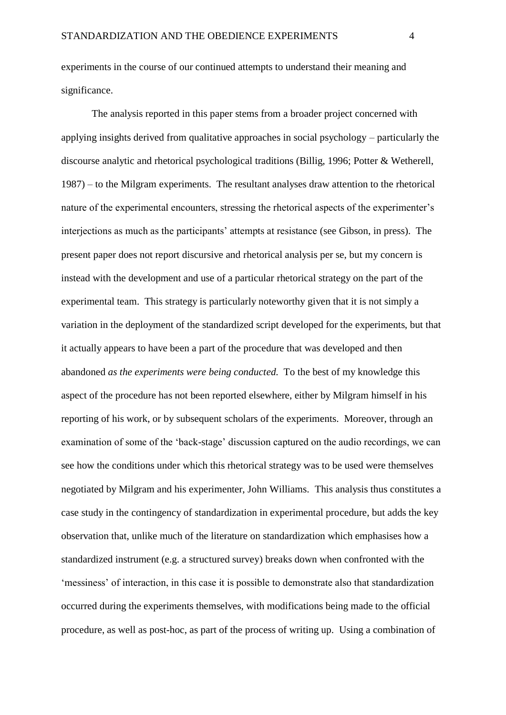experiments in the course of our continued attempts to understand their meaning and significance.

The analysis reported in this paper stems from a broader project concerned with applying insights derived from qualitative approaches in social psychology – particularly the discourse analytic and rhetorical psychological traditions (Billig, 1996; Potter & Wetherell, 1987) – to the Milgram experiments. The resultant analyses draw attention to the rhetorical nature of the experimental encounters, stressing the rhetorical aspects of the experimenter's interjections as much as the participants' attempts at resistance (see Gibson, in press). The present paper does not report discursive and rhetorical analysis per se, but my concern is instead with the development and use of a particular rhetorical strategy on the part of the experimental team. This strategy is particularly noteworthy given that it is not simply a variation in the deployment of the standardized script developed for the experiments, but that it actually appears to have been a part of the procedure that was developed and then abandoned *as the experiments were being conducted.* To the best of my knowledge this aspect of the procedure has not been reported elsewhere, either by Milgram himself in his reporting of his work, or by subsequent scholars of the experiments. Moreover, through an examination of some of the 'back-stage' discussion captured on the audio recordings, we can see how the conditions under which this rhetorical strategy was to be used were themselves negotiated by Milgram and his experimenter, John Williams. This analysis thus constitutes a case study in the contingency of standardization in experimental procedure, but adds the key observation that, unlike much of the literature on standardization which emphasises how a standardized instrument (e.g. a structured survey) breaks down when confronted with the 'messiness' of interaction, in this case it is possible to demonstrate also that standardization occurred during the experiments themselves, with modifications being made to the official procedure, as well as post-hoc, as part of the process of writing up. Using a combination of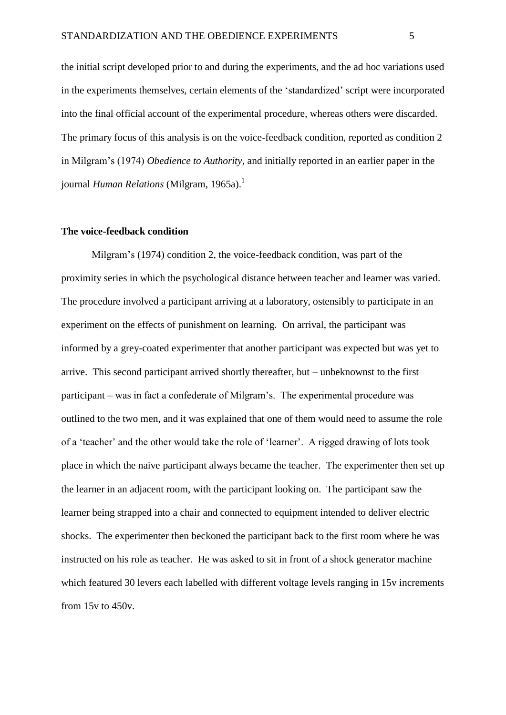the initial script developed prior to and during the experiments, and the ad hoc variations used in the experiments themselves, certain elements of the 'standardized' script were incorporated into the final official account of the experimental procedure, whereas others were discarded. The primary focus of this analysis is on the voice-feedback condition, reported as condition 2 in Milgram's (1974) *Obedience to Authority*, and initially reported in an earlier paper in the journal *Human Relations* (Milgram, 1965a).<sup>1</sup>

#### **The voice-feedback condition**

Milgram's (1974) condition 2, the voice-feedback condition, was part of the proximity series in which the psychological distance between teacher and learner was varied. The procedure involved a participant arriving at a laboratory, ostensibly to participate in an experiment on the effects of punishment on learning. On arrival, the participant was informed by a grey-coated experimenter that another participant was expected but was yet to arrive. This second participant arrived shortly thereafter, but – unbeknownst to the first participant – was in fact a confederate of Milgram's. The experimental procedure was outlined to the two men, and it was explained that one of them would need to assume the role of a 'teacher' and the other would take the role of 'learner'. A rigged drawing of lots took place in which the naive participant always became the teacher. The experimenter then set up the learner in an adjacent room, with the participant looking on. The participant saw the learner being strapped into a chair and connected to equipment intended to deliver electric shocks. The experimenter then beckoned the participant back to the first room where he was instructed on his role as teacher. He was asked to sit in front of a shock generator machine which featured 30 levers each labelled with different voltage levels ranging in 15v increments from 15v to 450v.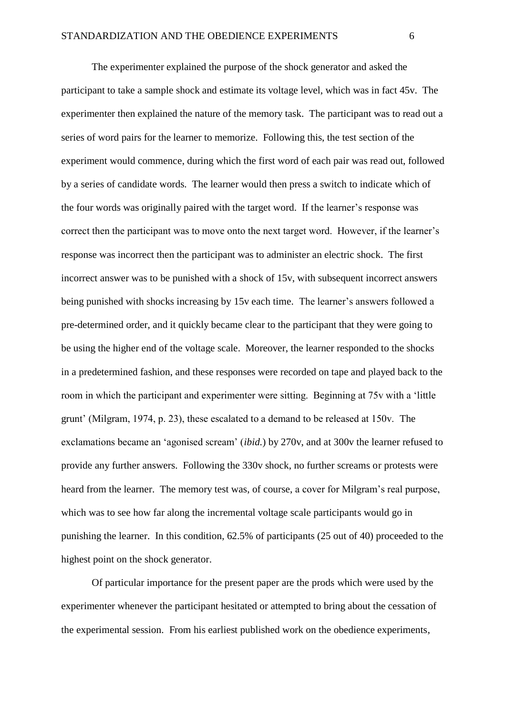The experimenter explained the purpose of the shock generator and asked the participant to take a sample shock and estimate its voltage level, which was in fact 45v. The experimenter then explained the nature of the memory task. The participant was to read out a series of word pairs for the learner to memorize. Following this, the test section of the experiment would commence, during which the first word of each pair was read out, followed by a series of candidate words. The learner would then press a switch to indicate which of the four words was originally paired with the target word. If the learner's response was correct then the participant was to move onto the next target word. However, if the learner's response was incorrect then the participant was to administer an electric shock. The first incorrect answer was to be punished with a shock of 15v, with subsequent incorrect answers being punished with shocks increasing by 15v each time. The learner's answers followed a pre-determined order, and it quickly became clear to the participant that they were going to be using the higher end of the voltage scale. Moreover, the learner responded to the shocks in a predetermined fashion, and these responses were recorded on tape and played back to the room in which the participant and experimenter were sitting. Beginning at 75v with a 'little grunt' (Milgram, 1974, p. 23), these escalated to a demand to be released at 150v. The exclamations became an 'agonised scream' (*ibid.*) by 270v, and at 300v the learner refused to provide any further answers. Following the 330v shock, no further screams or protests were heard from the learner. The memory test was, of course, a cover for Milgram's real purpose, which was to see how far along the incremental voltage scale participants would go in punishing the learner. In this condition, 62.5% of participants (25 out of 40) proceeded to the highest point on the shock generator.

Of particular importance for the present paper are the prods which were used by the experimenter whenever the participant hesitated or attempted to bring about the cessation of the experimental session. From his earliest published work on the obedience experiments,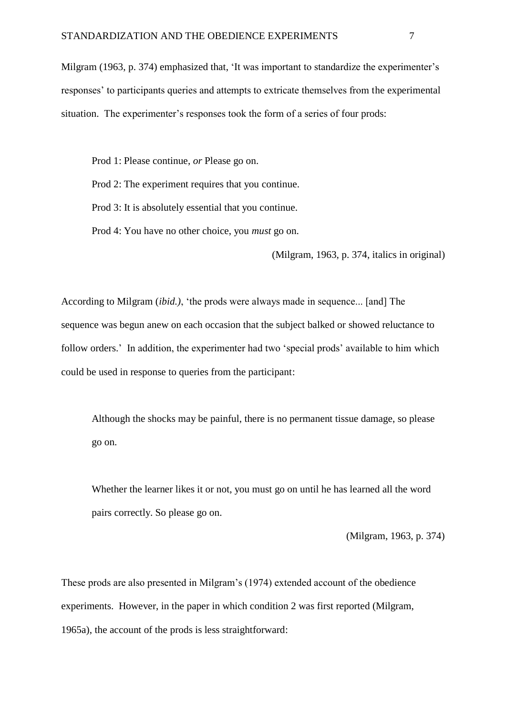Milgram (1963, p. 374) emphasized that, 'It was important to standardize the experimenter's responses' to participants queries and attempts to extricate themselves from the experimental situation. The experimenter's responses took the form of a series of four prods:

Prod 1: Please continue, *or* Please go on.

Prod 2: The experiment requires that you continue.

Prod 3: It is absolutely essential that you continue.

Prod 4: You have no other choice, you *must* go on.

(Milgram, 1963, p. 374, italics in original)

According to Milgram (*ibid.)*, 'the prods were always made in sequence... [and] The sequence was begun anew on each occasion that the subject balked or showed reluctance to follow orders.' In addition, the experimenter had two 'special prods' available to him which could be used in response to queries from the participant:

Although the shocks may be painful, there is no permanent tissue damage, so please go on.

Whether the learner likes it or not, you must go on until he has learned all the word pairs correctly. So please go on.

(Milgram, 1963, p. 374)

These prods are also presented in Milgram's (1974) extended account of the obedience experiments. However, in the paper in which condition 2 was first reported (Milgram, 1965a), the account of the prods is less straightforward: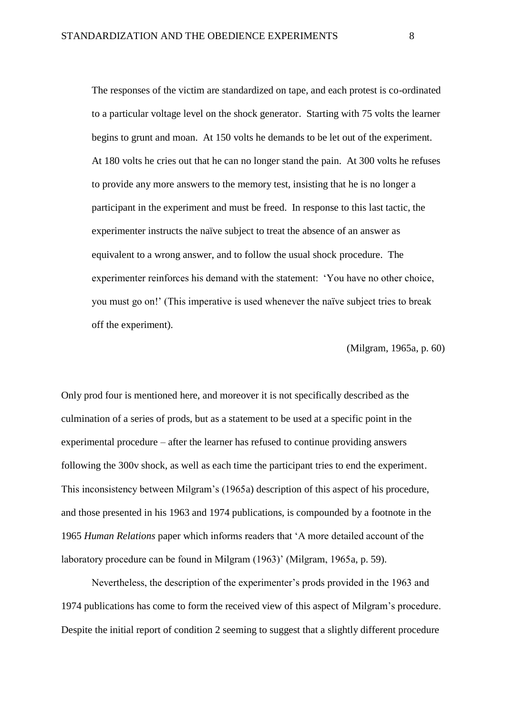The responses of the victim are standardized on tape, and each protest is co-ordinated to a particular voltage level on the shock generator. Starting with 75 volts the learner begins to grunt and moan. At 150 volts he demands to be let out of the experiment. At 180 volts he cries out that he can no longer stand the pain. At 300 volts he refuses to provide any more answers to the memory test, insisting that he is no longer a participant in the experiment and must be freed. In response to this last tactic, the experimenter instructs the naïve subject to treat the absence of an answer as equivalent to a wrong answer, and to follow the usual shock procedure. The experimenter reinforces his demand with the statement: 'You have no other choice, you must go on!' (This imperative is used whenever the naïve subject tries to break off the experiment).

(Milgram, 1965a, p. 60)

Only prod four is mentioned here, and moreover it is not specifically described as the culmination of a series of prods, but as a statement to be used at a specific point in the experimental procedure – after the learner has refused to continue providing answers following the 300v shock, as well as each time the participant tries to end the experiment. This inconsistency between Milgram's (1965a) description of this aspect of his procedure, and those presented in his 1963 and 1974 publications, is compounded by a footnote in the 1965 *Human Relations* paper which informs readers that 'A more detailed account of the laboratory procedure can be found in Milgram (1963)' (Milgram, 1965a, p. 59).

Nevertheless, the description of the experimenter's prods provided in the 1963 and 1974 publications has come to form the received view of this aspect of Milgram's procedure. Despite the initial report of condition 2 seeming to suggest that a slightly different procedure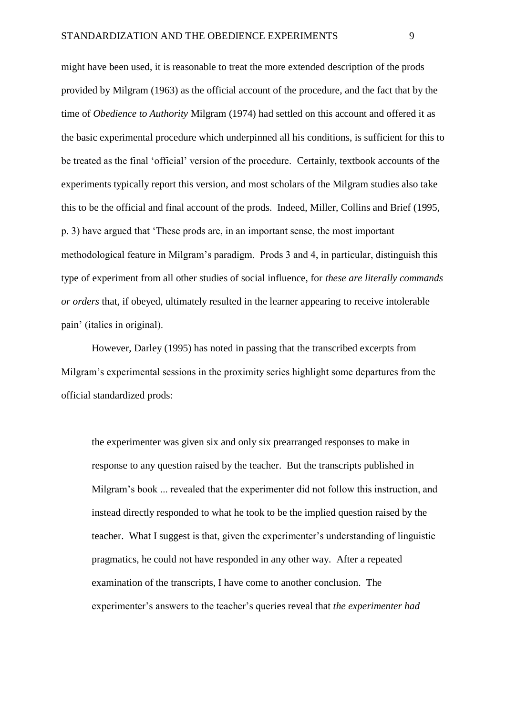might have been used, it is reasonable to treat the more extended description of the prods provided by Milgram (1963) as the official account of the procedure, and the fact that by the time of *Obedience to Authority* Milgram (1974) had settled on this account and offered it as the basic experimental procedure which underpinned all his conditions, is sufficient for this to be treated as the final 'official' version of the procedure. Certainly, textbook accounts of the experiments typically report this version, and most scholars of the Milgram studies also take this to be the official and final account of the prods. Indeed, Miller, Collins and Brief (1995, p. 3) have argued that 'These prods are, in an important sense, the most important methodological feature in Milgram's paradigm. Prods 3 and 4, in particular, distinguish this type of experiment from all other studies of social influence, for *these are literally commands or orders* that, if obeyed, ultimately resulted in the learner appearing to receive intolerable pain' (italics in original).

However, Darley (1995) has noted in passing that the transcribed excerpts from Milgram's experimental sessions in the proximity series highlight some departures from the official standardized prods:

the experimenter was given six and only six prearranged responses to make in response to any question raised by the teacher. But the transcripts published in Milgram's book ... revealed that the experimenter did not follow this instruction, and instead directly responded to what he took to be the implied question raised by the teacher. What I suggest is that, given the experimenter's understanding of linguistic pragmatics, he could not have responded in any other way. After a repeated examination of the transcripts, I have come to another conclusion. The experimenter's answers to the teacher's queries reveal that *the experimenter had*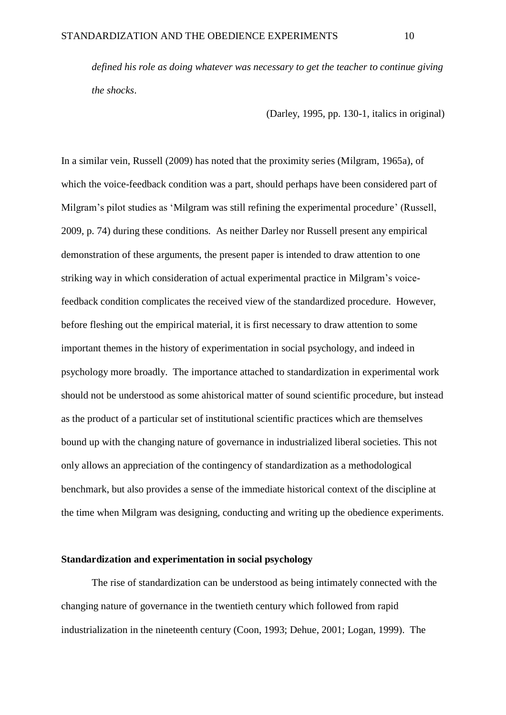*defined his role as doing whatever was necessary to get the teacher to continue giving the shocks*.

(Darley, 1995, pp. 130-1, italics in original)

In a similar vein, Russell (2009) has noted that the proximity series (Milgram, 1965a), of which the voice-feedback condition was a part, should perhaps have been considered part of Milgram's pilot studies as 'Milgram was still refining the experimental procedure' (Russell, 2009, p. 74) during these conditions. As neither Darley nor Russell present any empirical demonstration of these arguments, the present paper is intended to draw attention to one striking way in which consideration of actual experimental practice in Milgram's voicefeedback condition complicates the received view of the standardized procedure. However, before fleshing out the empirical material, it is first necessary to draw attention to some important themes in the history of experimentation in social psychology, and indeed in psychology more broadly. The importance attached to standardization in experimental work should not be understood as some ahistorical matter of sound scientific procedure, but instead as the product of a particular set of institutional scientific practices which are themselves bound up with the changing nature of governance in industrialized liberal societies. This not only allows an appreciation of the contingency of standardization as a methodological benchmark, but also provides a sense of the immediate historical context of the discipline at the time when Milgram was designing, conducting and writing up the obedience experiments.

### **Standardization and experimentation in social psychology**

The rise of standardization can be understood as being intimately connected with the changing nature of governance in the twentieth century which followed from rapid industrialization in the nineteenth century (Coon, 1993; Dehue, 2001; Logan, 1999). The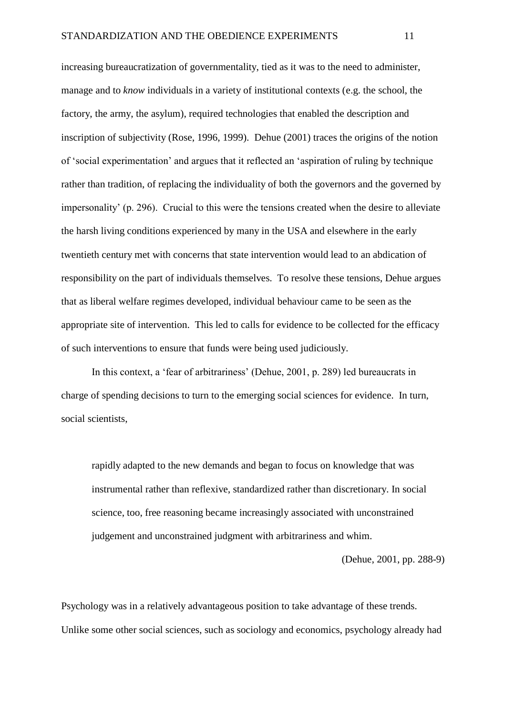increasing bureaucratization of governmentality, tied as it was to the need to administer, manage and to *know* individuals in a variety of institutional contexts (e.g. the school, the factory, the army, the asylum), required technologies that enabled the description and inscription of subjectivity (Rose, 1996, 1999). Dehue (2001) traces the origins of the notion of 'social experimentation' and argues that it reflected an 'aspiration of ruling by technique rather than tradition, of replacing the individuality of both the governors and the governed by impersonality' (p. 296). Crucial to this were the tensions created when the desire to alleviate the harsh living conditions experienced by many in the USA and elsewhere in the early twentieth century met with concerns that state intervention would lead to an abdication of responsibility on the part of individuals themselves. To resolve these tensions, Dehue argues that as liberal welfare regimes developed, individual behaviour came to be seen as the appropriate site of intervention. This led to calls for evidence to be collected for the efficacy of such interventions to ensure that funds were being used judiciously.

In this context, a 'fear of arbitrariness' (Dehue, 2001, p. 289) led bureaucrats in charge of spending decisions to turn to the emerging social sciences for evidence. In turn, social scientists,

rapidly adapted to the new demands and began to focus on knowledge that was instrumental rather than reflexive, standardized rather than discretionary. In social science, too, free reasoning became increasingly associated with unconstrained judgement and unconstrained judgment with arbitrariness and whim.

(Dehue, 2001, pp. 288-9)

Psychology was in a relatively advantageous position to take advantage of these trends. Unlike some other social sciences, such as sociology and economics, psychology already had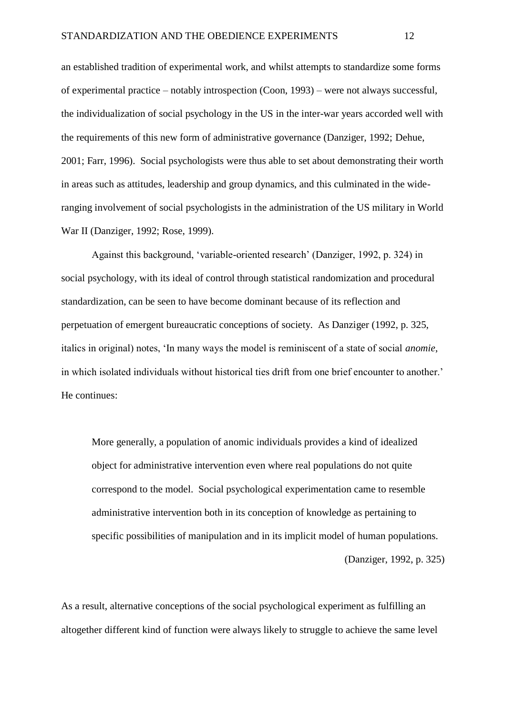an established tradition of experimental work, and whilst attempts to standardize some forms of experimental practice – notably introspection (Coon, 1993) – were not always successful, the individualization of social psychology in the US in the inter-war years accorded well with the requirements of this new form of administrative governance (Danziger, 1992; Dehue, 2001; Farr, 1996). Social psychologists were thus able to set about demonstrating their worth in areas such as attitudes, leadership and group dynamics, and this culminated in the wideranging involvement of social psychologists in the administration of the US military in World War II (Danziger, 1992; Rose, 1999).

Against this background, 'variable-oriented research' (Danziger, 1992, p. 324) in social psychology, with its ideal of control through statistical randomization and procedural standardization, can be seen to have become dominant because of its reflection and perpetuation of emergent bureaucratic conceptions of society. As Danziger (1992, p. 325, italics in original) notes, 'In many ways the model is reminiscent of a state of social *anomie*, in which isolated individuals without historical ties drift from one brief encounter to another.' He continues:

More generally, a population of anomic individuals provides a kind of idealized object for administrative intervention even where real populations do not quite correspond to the model. Social psychological experimentation came to resemble administrative intervention both in its conception of knowledge as pertaining to specific possibilities of manipulation and in its implicit model of human populations.

(Danziger, 1992, p. 325)

As a result, alternative conceptions of the social psychological experiment as fulfilling an altogether different kind of function were always likely to struggle to achieve the same level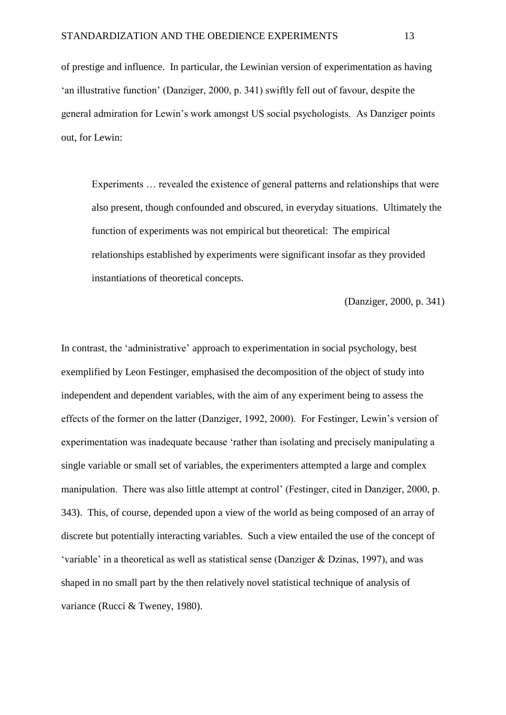of prestige and influence. In particular, the Lewinian version of experimentation as having 'an illustrative function' (Danziger, 2000, p. 341) swiftly fell out of favour, despite the general admiration for Lewin's work amongst US social psychologists. As Danziger points out, for Lewin:

Experiments … revealed the existence of general patterns and relationships that were also present, though confounded and obscured, in everyday situations. Ultimately the function of experiments was not empirical but theoretical: The empirical relationships established by experiments were significant insofar as they provided instantiations of theoretical concepts.

(Danziger, 2000, p. 341)

In contrast, the 'administrative' approach to experimentation in social psychology, best exemplified by Leon Festinger, emphasised the decomposition of the object of study into independent and dependent variables, with the aim of any experiment being to assess the effects of the former on the latter (Danziger, 1992, 2000). For Festinger, Lewin's version of experimentation was inadequate because 'rather than isolating and precisely manipulating a single variable or small set of variables, the experimenters attempted a large and complex manipulation. There was also little attempt at control' (Festinger, cited in Danziger, 2000, p. 343). This, of course, depended upon a view of the world as being composed of an array of discrete but potentially interacting variables. Such a view entailed the use of the concept of 'variable' in a theoretical as well as statistical sense (Danziger & Dzinas, 1997), and was shaped in no small part by the then relatively novel statistical technique of analysis of variance (Rucci & Tweney, 1980).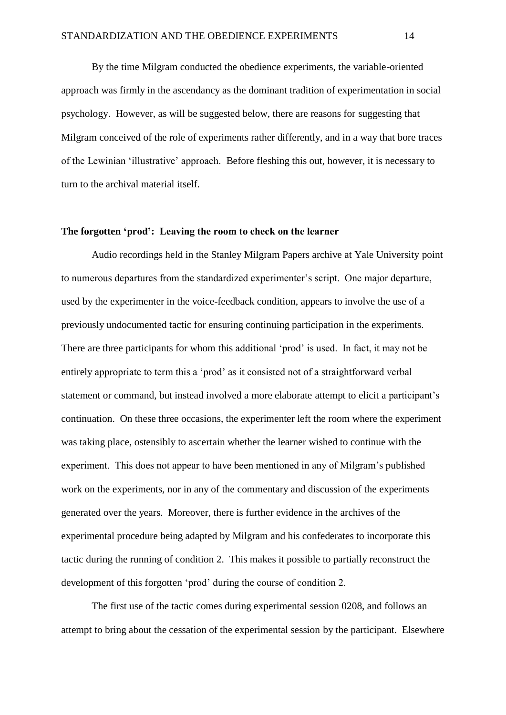By the time Milgram conducted the obedience experiments, the variable-oriented approach was firmly in the ascendancy as the dominant tradition of experimentation in social psychology. However, as will be suggested below, there are reasons for suggesting that Milgram conceived of the role of experiments rather differently, and in a way that bore traces of the Lewinian 'illustrative' approach. Before fleshing this out, however, it is necessary to turn to the archival material itself.

### **The forgotten 'prod': Leaving the room to check on the learner**

Audio recordings held in the Stanley Milgram Papers archive at Yale University point to numerous departures from the standardized experimenter's script. One major departure, used by the experimenter in the voice-feedback condition, appears to involve the use of a previously undocumented tactic for ensuring continuing participation in the experiments. There are three participants for whom this additional 'prod' is used. In fact, it may not be entirely appropriate to term this a 'prod' as it consisted not of a straightforward verbal statement or command, but instead involved a more elaborate attempt to elicit a participant's continuation. On these three occasions, the experimenter left the room where the experiment was taking place, ostensibly to ascertain whether the learner wished to continue with the experiment. This does not appear to have been mentioned in any of Milgram's published work on the experiments, nor in any of the commentary and discussion of the experiments generated over the years. Moreover, there is further evidence in the archives of the experimental procedure being adapted by Milgram and his confederates to incorporate this tactic during the running of condition 2. This makes it possible to partially reconstruct the development of this forgotten 'prod' during the course of condition 2.

The first use of the tactic comes during experimental session 0208, and follows an attempt to bring about the cessation of the experimental session by the participant. Elsewhere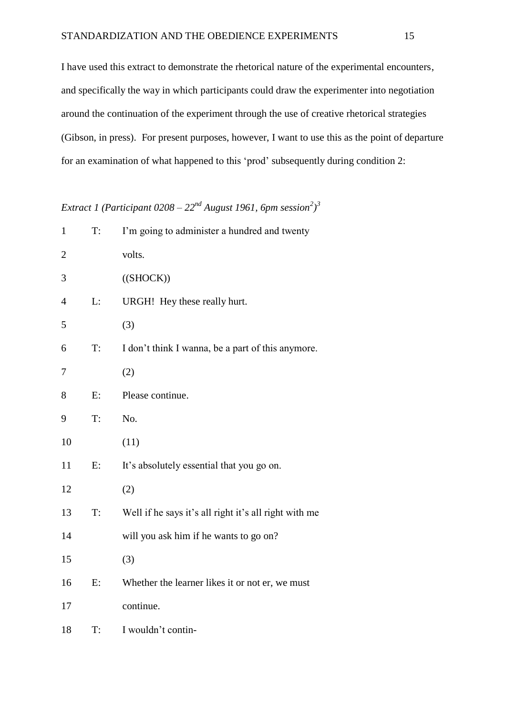I have used this extract to demonstrate the rhetorical nature of the experimental encounters, and specifically the way in which participants could draw the experimenter into negotiation around the continuation of the experiment through the use of creative rhetorical strategies (Gibson, in press). For present purposes, however, I want to use this as the point of departure for an examination of what happened to this 'prod' subsequently during condition 2:

*Extract 1 (Participant 0208 – 22nd August 1961, 6pm session<sup>2</sup> ) 3*

| $\mathbf{1}$   | T: | I'm going to administer a hundred and twenty          |
|----------------|----|-------------------------------------------------------|
| $\overline{c}$ |    | volts.                                                |
| 3              |    | ((SHOCK))                                             |
| 4              | L: | URGH! Hey these really hurt.                          |
| 5              |    | (3)                                                   |
| 6              | T: | I don't think I wanna, be a part of this anymore.     |
| 7              |    | (2)                                                   |
| 8              | E: | Please continue.                                      |
| 9              | T: | No.                                                   |
| 10             |    | (11)                                                  |
| 11             | E: | It's absolutely essential that you go on.             |
| 12             |    | (2)                                                   |
| 13             | T: | Well if he says it's all right it's all right with me |
| 14             |    | will you ask him if he wants to go on?                |
| 15             |    | (3)                                                   |
| 16             | E: | Whether the learner likes it or not er, we must       |
| 17             |    | continue.                                             |
| 18             | T: | I wouldn't contin-                                    |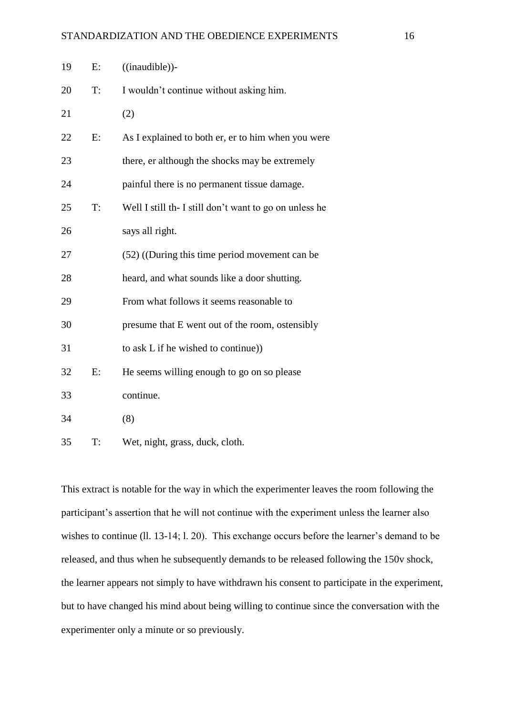| 19 | E: | ((in a <i>udible</i> )).                               |
|----|----|--------------------------------------------------------|
| 20 | T: | I wouldn't continue without asking him.                |
| 21 |    | (2)                                                    |
| 22 | E: | As I explained to both er, er to him when you were     |
| 23 |    | there, er although the shocks may be extremely         |
| 24 |    | painful there is no permanent tissue damage.           |
| 25 | T: | Well I still th- I still don't want to go on unless he |
| 26 |    | says all right.                                        |
| 27 |    | (52) ((During this time period movement can be         |
| 28 |    | heard, and what sounds like a door shutting.           |
| 29 |    | From what follows it seems reasonable to               |
| 30 |    | presume that E went out of the room, ostensibly        |
| 31 |    | to ask L if he wished to continue))                    |
| 32 | E: | He seems willing enough to go on so please             |
| 33 |    | continue.                                              |
| 34 |    | (8)                                                    |
| 35 | T: | Wet, night, grass, duck, cloth.                        |

This extract is notable for the way in which the experimenter leaves the room following the participant's assertion that he will not continue with the experiment unless the learner also wishes to continue (ll. 13-14; l. 20). This exchange occurs before the learner's demand to be released, and thus when he subsequently demands to be released following the 150v shock, the learner appears not simply to have withdrawn his consent to participate in the experiment, but to have changed his mind about being willing to continue since the conversation with the experimenter only a minute or so previously.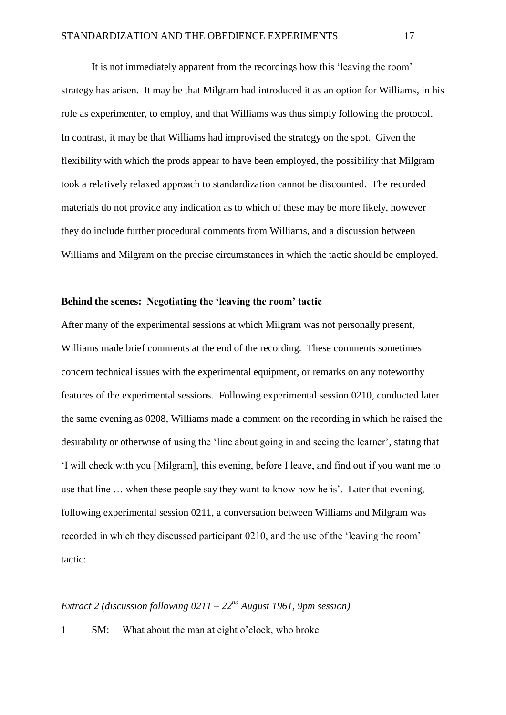It is not immediately apparent from the recordings how this 'leaving the room' strategy has arisen. It may be that Milgram had introduced it as an option for Williams, in his role as experimenter, to employ, and that Williams was thus simply following the protocol. In contrast, it may be that Williams had improvised the strategy on the spot. Given the flexibility with which the prods appear to have been employed, the possibility that Milgram took a relatively relaxed approach to standardization cannot be discounted. The recorded materials do not provide any indication as to which of these may be more likely, however they do include further procedural comments from Williams, and a discussion between Williams and Milgram on the precise circumstances in which the tactic should be employed.

## **Behind the scenes: Negotiating the 'leaving the room' tactic**

After many of the experimental sessions at which Milgram was not personally present, Williams made brief comments at the end of the recording. These comments sometimes concern technical issues with the experimental equipment, or remarks on any noteworthy features of the experimental sessions. Following experimental session 0210, conducted later the same evening as 0208, Williams made a comment on the recording in which he raised the desirability or otherwise of using the 'line about going in and seeing the learner', stating that 'I will check with you [Milgram], this evening, before I leave, and find out if you want me to use that line … when these people say they want to know how he is'.Later that evening, following experimental session 0211, a conversation between Williams and Milgram was recorded in which they discussed participant 0210, and the use of the 'leaving the room' tactic:

# *Extract 2 (discussion following 0211 – 22nd August 1961, 9pm session)*

1 SM: What about the man at eight o'clock, who broke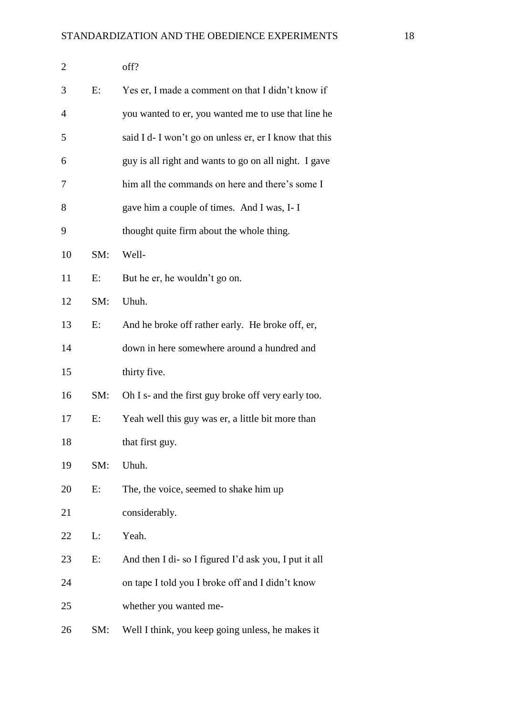| $\mathbf{2}$ |     | off?                                                   |
|--------------|-----|--------------------------------------------------------|
| 3            | E:  | Yes er, I made a comment on that I didn't know if      |
| 4            |     | you wanted to er, you wanted me to use that line he    |
| 5            |     | said I d- I won't go on unless er, er I know that this |
| 6            |     | guy is all right and wants to go on all night. I gave  |
| 7            |     | him all the commands on here and there's some I        |
| 8            |     | gave him a couple of times. And I was, I-I             |
| 9            |     | thought quite firm about the whole thing.              |
| 10           | SM: | Well-                                                  |
| 11           | Е:  | But he er, he wouldn't go on.                          |
| 12           | SM: | Uhuh.                                                  |
| 13           | E:  | And he broke off rather early. He broke off, er,       |
| 14           |     | down in here somewhere around a hundred and            |
| 15           |     | thirty five.                                           |
| 16           | SM: | Oh I s- and the first guy broke off very early too.    |
| 17           | E:  | Yeah well this guy was er, a little bit more than      |
| 18           |     | that first guy.                                        |
| 19           | SM: | Uhuh.                                                  |
| 20           | E:  | The, the voice, seemed to shake him up                 |
| 21           |     | considerably.                                          |
| 22           | L:  | Yeah.                                                  |
| 23           | Е:  | And then I di-so I figured I'd ask you, I put it all   |
| 24           |     | on tape I told you I broke off and I didn't know       |
| 25           |     | whether you wanted me-                                 |
| 26           | SM: | Well I think, you keep going unless, he makes it       |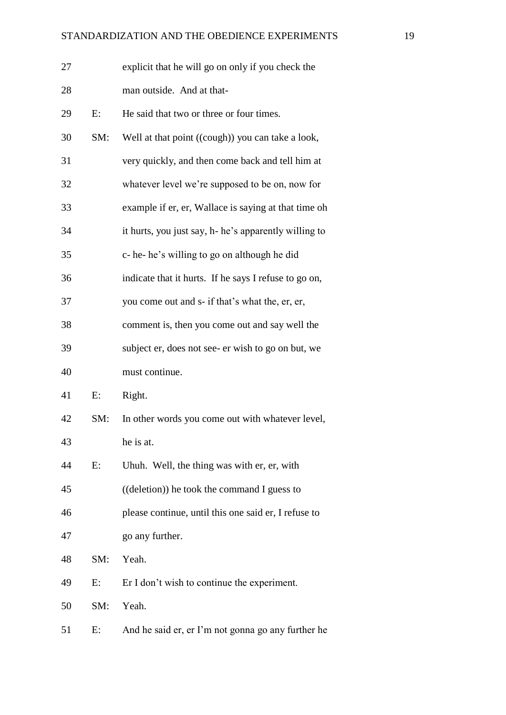| 27 |     | explicit that he will go on only if you check the     |
|----|-----|-------------------------------------------------------|
| 28 |     | man outside. And at that-                             |
| 29 | E:  | He said that two or three or four times.              |
| 30 | SM: | Well at that point ((cough)) you can take a look,     |
| 31 |     | very quickly, and then come back and tell him at      |
| 32 |     | whatever level we're supposed to be on, now for       |
| 33 |     | example if er, er, Wallace is saying at that time oh  |
| 34 |     | it hurts, you just say, h- he's apparently willing to |
| 35 |     | c-he-he's willing to go on although he did            |
| 36 |     | indicate that it hurts. If he says I refuse to go on, |
| 37 |     | you come out and s- if that's what the, er, er,       |
| 38 |     | comment is, then you come out and say well the        |
| 39 |     | subject er, does not see- er wish to go on but, we    |
| 40 |     | must continue.                                        |
| 41 | E:  | Right.                                                |
| 42 | SM: | In other words you come out with whatever level,      |
| 43 |     | he is at.                                             |
| 44 | E:  | Uhuh. Well, the thing was with er, er, with           |
| 45 |     | ((deletion)) he took the command I guess to           |
| 46 |     | please continue, until this one said er, I refuse to  |
| 47 |     | go any further.                                       |
| 48 | SM: | Yeah.                                                 |
| 49 | E:  | Er I don't wish to continue the experiment.           |
| 50 | SM: | Yeah.                                                 |
| 51 | E:  | And he said er, er I'm not gonna go any further he    |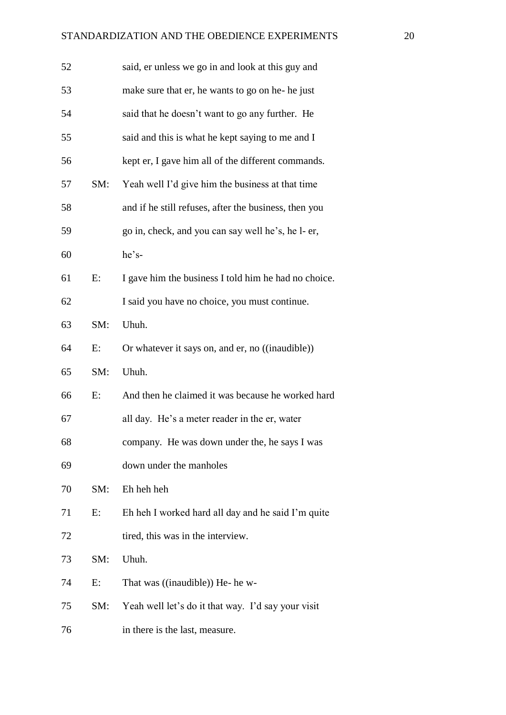| 52 |     | said, er unless we go in and look at this guy and     |
|----|-----|-------------------------------------------------------|
| 53 |     | make sure that er, he wants to go on he- he just      |
| 54 |     | said that he doesn't want to go any further. He       |
| 55 |     | said and this is what he kept saying to me and I      |
| 56 |     | kept er, I gave him all of the different commands.    |
| 57 | SM: | Yeah well I'd give him the business at that time      |
| 58 |     | and if he still refuses, after the business, then you |
| 59 |     | go in, check, and you can say well he's, he l- er,    |
| 60 |     | he's-                                                 |
| 61 | E:  | I gave him the business I told him he had no choice.  |
| 62 |     | I said you have no choice, you must continue.         |
| 63 | SM: | Uhuh.                                                 |
| 64 | E:  | Or whatever it says on, and er, no ((inaudible))      |
| 65 | SM: | Uhuh.                                                 |
| 66 | E:  | And then he claimed it was because he worked hard     |
| 67 |     | all day. He's a meter reader in the er, water         |
| 68 |     | company. He was down under the, he says I was         |
| 69 |     | down under the manholes                               |
| 70 | SM: | Eh heh heh                                            |
| 71 | E:  | Eh heh I worked hard all day and he said I'm quite    |
| 72 |     | tired, this was in the interview.                     |
| 73 | SM: | Uhuh.                                                 |
| 74 | E:  | That was ((inaudible)) He- he w-                      |
| 75 | SM: | Yeah well let's do it that way. I'd say your visit    |
| 76 |     | in there is the last, measure.                        |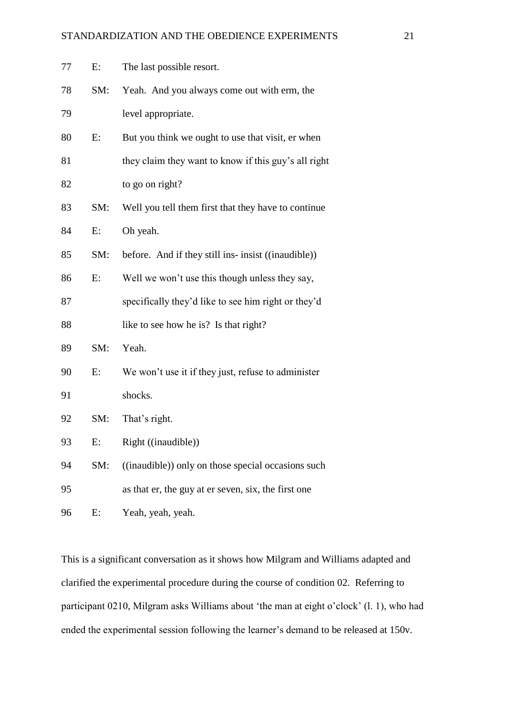| 77 | E:    | The last possible resort.                            |
|----|-------|------------------------------------------------------|
| 78 | SM:   | Yeah. And you always come out with erm, the          |
| 79 |       | level appropriate.                                   |
| 80 | E:    | But you think we ought to use that visit, er when    |
| 81 |       | they claim they want to know if this guy's all right |
| 82 |       | to go on right?                                      |
| 83 | SM:   | Well you tell them first that they have to continue  |
| 84 | E:    | Oh yeah.                                             |
| 85 | SM:   | before. And if they still ins- insist ((inaudible))  |
| 86 | E:    | Well we won't use this though unless they say,       |
| 87 |       | specifically they'd like to see him right or they'd  |
| 88 |       | like to see how he is? Is that right?                |
| 89 | SM:   | Yeah.                                                |
| 90 | E:    | We won't use it if they just, refuse to administer   |
| 91 |       | shocks.                                              |
| 92 | SM:   | That's right.                                        |
| 93 | $E$ : | Right ((inaudible))                                  |
| 94 | SM:   | ((inaudible)) only on those special occasions such   |
| 95 |       | as that er, the guy at er seven, six, the first one  |
| 96 | E:    | Yeah, yeah, yeah.                                    |

This is a significant conversation as it shows how Milgram and Williams adapted and clarified the experimental procedure during the course of condition 02. Referring to participant 0210, Milgram asks Williams about 'the man at eight o'clock' (l. 1), who had ended the experimental session following the learner's demand to be released at 150v.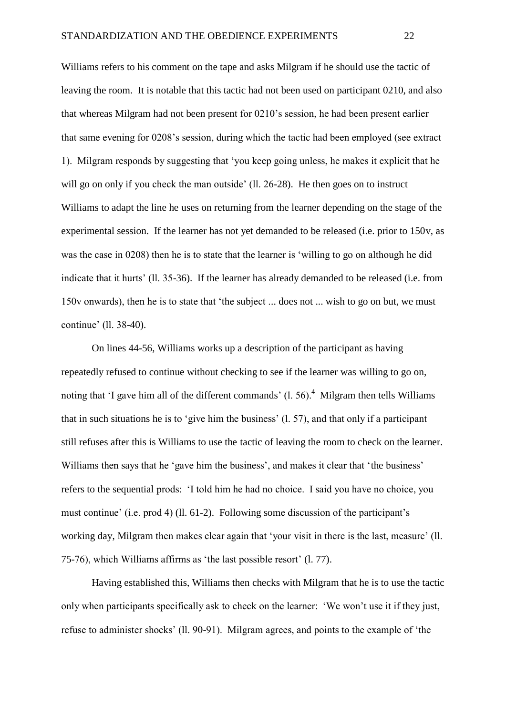Williams refers to his comment on the tape and asks Milgram if he should use the tactic of leaving the room. It is notable that this tactic had not been used on participant 0210, and also that whereas Milgram had not been present for 0210's session, he had been present earlier that same evening for 0208's session, during which the tactic had been employed (see extract 1). Milgram responds by suggesting that 'you keep going unless, he makes it explicit that he will go on only if you check the man outside' (11, 26-28). He then goes on to instruct Williams to adapt the line he uses on returning from the learner depending on the stage of the experimental session. If the learner has not yet demanded to be released (i.e. prior to 150v, as was the case in 0208) then he is to state that the learner is 'willing to go on although he did indicate that it hurts' (ll. 35-36). If the learner has already demanded to be released (i.e. from 150v onwards), then he is to state that 'the subject ... does not ... wish to go on but, we must continue' (ll. 38-40).

On lines 44-56, Williams works up a description of the participant as having repeatedly refused to continue without checking to see if the learner was willing to go on, noting that 'I gave him all of the different commands'  $(1, 56)$ .<sup>4</sup> Milgram then tells Williams that in such situations he is to 'give him the business' (l. 57), and that only if a participant still refuses after this is Williams to use the tactic of leaving the room to check on the learner. Williams then says that he 'gave him the business', and makes it clear that 'the business' refers to the sequential prods: 'I told him he had no choice. I said you have no choice, you must continue' (i.e. prod 4) (ll. 61-2). Following some discussion of the participant's working day, Milgram then makes clear again that 'your visit in there is the last, measure' (ll. 75-76), which Williams affirms as 'the last possible resort' (l. 77).

Having established this, Williams then checks with Milgram that he is to use the tactic only when participants specifically ask to check on the learner: 'We won't use it if they just, refuse to administer shocks' (ll. 90-91). Milgram agrees, and points to the example of 'the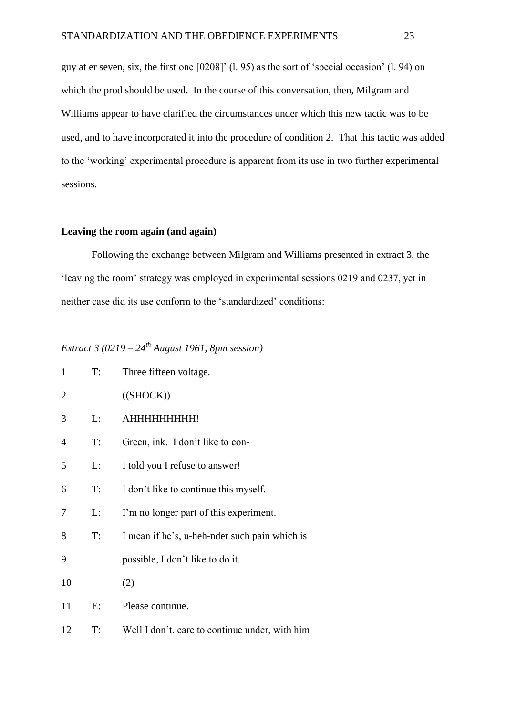guy at er seven, six, the first one [0208]' (l. 95) as the sort of 'special occasion' (l. 94) on which the prod should be used. In the course of this conversation, then, Milgram and Williams appear to have clarified the circumstances under which this new tactic was to be used, and to have incorporated it into the procedure of condition 2. That this tactic was added to the 'working' experimental procedure is apparent from its use in two further experimental sessions.

## **Leaving the room again (and again)**

Following the exchange between Milgram and Williams presented in extract 3, the 'leaving the room' strategy was employed in experimental sessions 0219 and 0237, yet in neither case did its use conform to the 'standardized' conditions:

# *Extract 3 (0219 – 24th August 1961, 8pm session)*

| $\mathbf{1}$   | T:    | Three fifteen voltage.                         |
|----------------|-------|------------------------------------------------|
| $\overline{2}$ |       | ((SHOCK))                                      |
| 3              | L:    | АННННННННН!                                    |
| $\overline{4}$ | T:    | Green, ink. I don't like to con-               |
| 5              | L:    | I told you I refuse to answer!                 |
| 6              | $T$ : | I don't like to continue this myself.          |
| 7              | L:    | I'm no longer part of this experiment.         |
| 8              | $T$ : | I mean if he's, u-heh-nder such pain which is  |
| 9              |       | possible, I don't like to do it.               |
| 10             |       | (2)                                            |
| 11             | E:    | Please continue.                               |
| 12             | T:    | Well I don't, care to continue under, with him |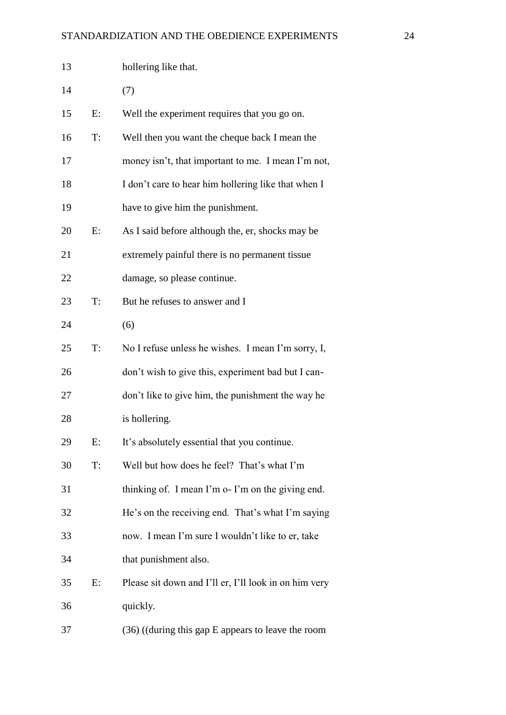| 13 |    | hollering like that.                                  |
|----|----|-------------------------------------------------------|
| 14 |    | (7)                                                   |
| 15 | E: | Well the experiment requires that you go on.          |
| 16 | T: | Well then you want the cheque back I mean the         |
| 17 |    | money isn't, that important to me. I mean I'm not,    |
| 18 |    | I don't care to hear him hollering like that when I   |
| 19 |    | have to give him the punishment.                      |
| 20 | E: | As I said before although the, er, shocks may be      |
| 21 |    | extremely painful there is no permanent tissue        |
| 22 |    | damage, so please continue.                           |
| 23 | T: | But he refuses to answer and I                        |
| 24 |    | (6)                                                   |
| 25 | T: | No I refuse unless he wishes. I mean I'm sorry, I,    |
| 26 |    | don't wish to give this, experiment bad but I can-    |
| 27 |    | don't like to give him, the punishment the way he     |
| 28 |    | is hollering.                                         |
| 29 | E: | It's absolutely essential that you continue.          |
| 30 | T: | Well but how does he feel? That's what I'm            |
| 31 |    | thinking of. I mean I'm o-I'm on the giving end.      |
| 32 |    | He's on the receiving end. That's what I'm saying     |
| 33 |    | now. I mean I'm sure I wouldn't like to er, take      |
| 34 |    | that punishment also.                                 |
| 35 | E: | Please sit down and I'll er, I'll look in on him very |
| 36 |    | quickly.                                              |
| 37 |    | $(36)$ ((during this gap E appears to leave the room  |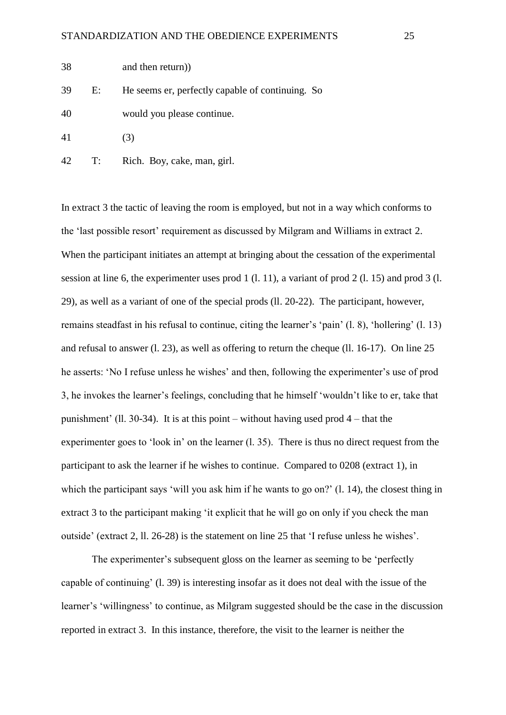| 38 | and then return)) |
|----|-------------------|
|----|-------------------|

39 E: He seems er, perfectly capable of continuing. So

40 would you please continue.

41 (3)

42 T: Rich. Boy, cake, man, girl.

In extract 3 the tactic of leaving the room is employed, but not in a way which conforms to the 'last possible resort' requirement as discussed by Milgram and Williams in extract 2. When the participant initiates an attempt at bringing about the cessation of the experimental session at line 6, the experimenter uses prod 1 (l. 11), a variant of prod 2 (l. 15) and prod 3 (l. 29), as well as a variant of one of the special prods (ll. 20-22). The participant, however, remains steadfast in his refusal to continue, citing the learner's 'pain' (l. 8), 'hollering' (l. 13) and refusal to answer (l. 23), as well as offering to return the cheque (ll. 16-17). On line 25 he asserts: 'No I refuse unless he wishes' and then, following the experimenter's use of prod 3, he invokes the learner's feelings, concluding that he himself 'wouldn't like to er, take that punishment' (ll. 30-34). It is at this point – without having used prod 4 – that the experimenter goes to 'look in' on the learner (l. 35). There is thus no direct request from the participant to ask the learner if he wishes to continue. Compared to 0208 (extract 1), in which the participant says 'will you ask him if he wants to go on?' (1, 14), the closest thing in extract 3 to the participant making 'it explicit that he will go on only if you check the man outside' (extract 2, ll. 26-28) is the statement on line 25 that 'I refuse unless he wishes'.

The experimenter's subsequent gloss on the learner as seeming to be 'perfectly capable of continuing' (l. 39) is interesting insofar as it does not deal with the issue of the learner's 'willingness' to continue, as Milgram suggested should be the case in the discussion reported in extract 3. In this instance, therefore, the visit to the learner is neither the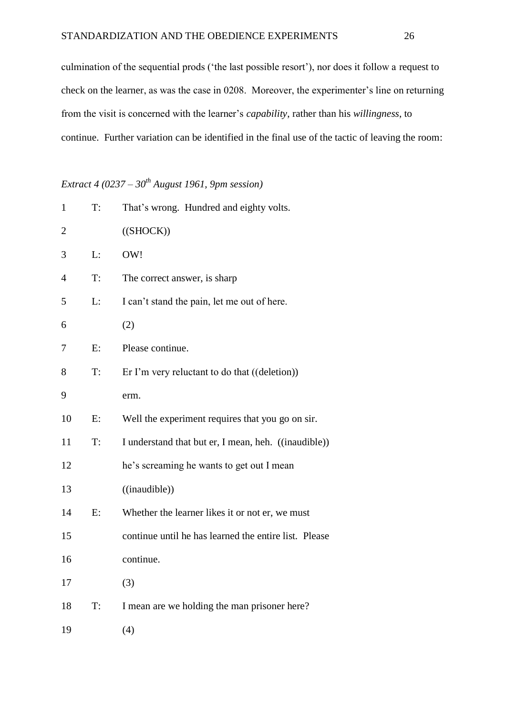culmination of the sequential prods ('the last possible resort'), nor does it follow a request to check on the learner, as was the case in 0208. Moreover, the experimenter's line on returning from the visit is concerned with the learner's *capability*, rather than his *willingness*, to continue. Further variation can be identified in the final use of the tactic of leaving the room:

# *Extract 4 (0237 – 30th August 1961, 9pm session)*

| $\mathbf{1}$   | T: | That's wrong. Hundred and eighty volts.                |
|----------------|----|--------------------------------------------------------|
| $\overline{c}$ |    | ((SHOCK))                                              |
| 3              | L: | OW!                                                    |
| 4              | T: | The correct answer, is sharp                           |
| 5              | L: | I can't stand the pain, let me out of here.            |
| 6              |    | (2)                                                    |
| 7              | E: | Please continue.                                       |
| 8              | T: | Er I'm very reluctant to do that $((\text{deletion}))$ |
| 9              |    | erm.                                                   |
| 10             | E: | Well the experiment requires that you go on sir.       |
| 11             | T: | I understand that but er, I mean, heh. ((inaudible))   |
| 12             |    | he's screaming he wants to get out I mean              |
| 13             |    | ((inaudible))                                          |
| 14             | E: | Whether the learner likes it or not er, we must        |
| 15             |    | continue until he has learned the entire list. Please  |
| 16             |    | continue.                                              |
| 17             |    | (3)                                                    |
| 18             | T: | I mean are we holding the man prisoner here?           |
| 19             |    | (4)                                                    |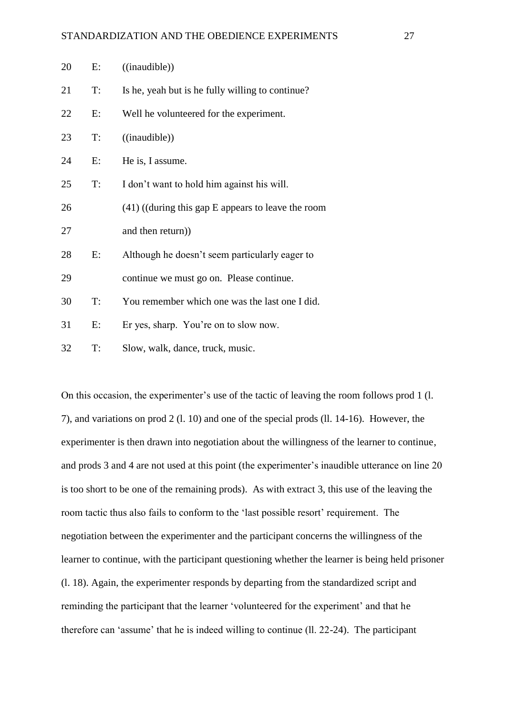| 20 | E:    | ((in a <i>udible</i> ))                              |
|----|-------|------------------------------------------------------|
| 21 | T:    | Is he, yeah but is he fully willing to continue?     |
| 22 | E:    | Well he volunteered for the experiment.              |
| 23 | T:    | ((in a <i>udible</i> ))                              |
| 24 | $E$ : | He is, I assume.                                     |
| 25 | T:    | I don't want to hold him against his will.           |
| 26 |       | $(41)$ ((during this gap E appears to leave the room |
| 27 |       | and then return))                                    |
| 28 | E:    | Although he doesn't seem particularly eager to       |
| 29 |       | continue we must go on. Please continue.             |
| 30 | T:    | You remember which one was the last one I did.       |
| 31 | $E$ : | Er yes, sharp. You're on to slow now.                |
| 32 | T:    | Slow, walk, dance, truck, music.                     |

On this occasion, the experimenter's use of the tactic of leaving the room follows prod 1 (l. 7), and variations on prod 2 (l. 10) and one of the special prods (ll. 14-16). However, the experimenter is then drawn into negotiation about the willingness of the learner to continue, and prods 3 and 4 are not used at this point (the experimenter's inaudible utterance on line 20 is too short to be one of the remaining prods). As with extract 3, this use of the leaving the room tactic thus also fails to conform to the 'last possible resort' requirement. The negotiation between the experimenter and the participant concerns the willingness of the learner to continue, with the participant questioning whether the learner is being held prisoner (l. 18). Again, the experimenter responds by departing from the standardized script and reminding the participant that the learner 'volunteered for the experiment' and that he therefore can 'assume' that he is indeed willing to continue (ll. 22-24). The participant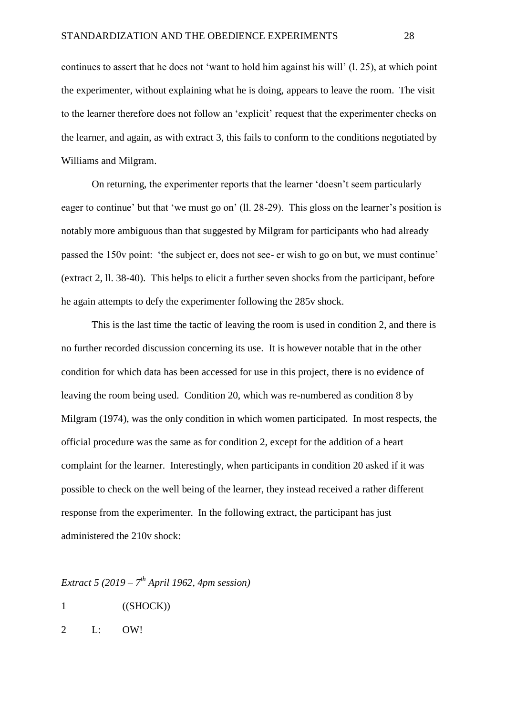continues to assert that he does not 'want to hold him against his will' (l. 25), at which point the experimenter, without explaining what he is doing, appears to leave the room. The visit to the learner therefore does not follow an 'explicit' request that the experimenter checks on the learner, and again, as with extract 3, this fails to conform to the conditions negotiated by Williams and Milgram.

On returning, the experimenter reports that the learner 'doesn't seem particularly eager to continue' but that 'we must go on' (ll. 28-29). This gloss on the learner's position is notably more ambiguous than that suggested by Milgram for participants who had already passed the 150v point: 'the subject er, does not see- er wish to go on but, we must continue' (extract 2, ll. 38-40). This helps to elicit a further seven shocks from the participant, before he again attempts to defy the experimenter following the 285v shock.

This is the last time the tactic of leaving the room is used in condition 2, and there is no further recorded discussion concerning its use. It is however notable that in the other condition for which data has been accessed for use in this project, there is no evidence of leaving the room being used. Condition 20, which was re-numbered as condition 8 by Milgram (1974), was the only condition in which women participated. In most respects, the official procedure was the same as for condition 2, except for the addition of a heart complaint for the learner. Interestingly, when participants in condition 20 asked if it was possible to check on the well being of the learner, they instead received a rather different response from the experimenter. In the following extract, the participant has just administered the 210v shock:

*Extract 5 (2019 – 7 th April 1962, 4pm session)*

- 1 ((SHOCK))
- 2 L: OW!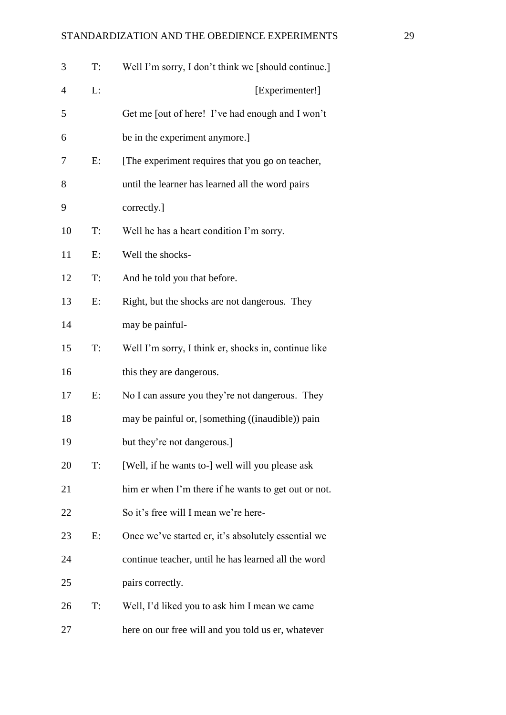| 3  | T:    | Well I'm sorry, I don't think we [should continue.]  |
|----|-------|------------------------------------------------------|
| 4  | L:    | [Experimenter!]                                      |
| 5  |       | Get me [out of here! I've had enough and I won't     |
| 6  |       | be in the experiment anymore.]                       |
| 7  | E:    | [The experiment requires that you go on teacher,     |
| 8  |       | until the learner has learned all the word pairs     |
| 9  |       | correctly.]                                          |
| 10 | $T$ : | Well he has a heart condition I'm sorry.             |
| 11 | E:    | Well the shocks-                                     |
| 12 | T:    | And he told you that before.                         |
| 13 | E:    | Right, but the shocks are not dangerous. They        |
| 14 |       | may be painful-                                      |
| 15 | T:    | Well I'm sorry, I think er, shocks in, continue like |
| 16 |       | this they are dangerous.                             |
| 17 | E:    | No I can assure you they're not dangerous. They      |
| 18 |       | may be painful or, [something ((inaudible)) pain     |
| 19 |       | but they're not dangerous.]                          |
| 20 | $T$ : | [Well, if he wants to-] well will you please ask     |
| 21 |       | him er when I'm there if he wants to get out or not. |
| 22 |       | So it's free will I mean we're here-                 |
| 23 | E:    | Once we've started er, it's absolutely essential we  |
| 24 |       | continue teacher, until he has learned all the word  |
| 25 |       | pairs correctly.                                     |
| 26 | T:    | Well, I'd liked you to ask him I mean we came        |
| 27 |       | here on our free will and you told us er, whatever   |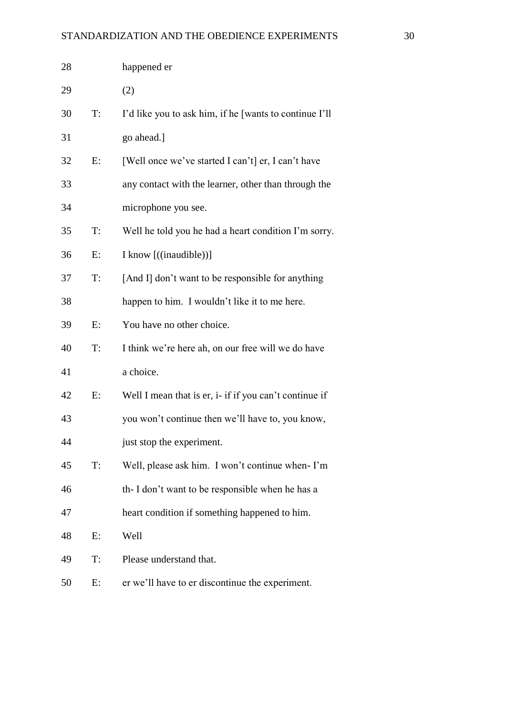| 28 |    | happened er                                            |
|----|----|--------------------------------------------------------|
| 29 |    | (2)                                                    |
| 30 | T: | I'd like you to ask him, if he [wants to continue I'll |
| 31 |    | go ahead.]                                             |
| 32 | E: | [Well once we've started I can't] er, I can't have     |
| 33 |    | any contact with the learner, other than through the   |
| 34 |    | microphone you see.                                    |
| 35 | T: | Well he told you he had a heart condition I'm sorry.   |
| 36 | E: | I know [((inaudible))]                                 |
| 37 | T: | [And I] don't want to be responsible for anything      |
| 38 |    | happen to him. I wouldn't like it to me here.          |
| 39 | E: | You have no other choice.                              |
| 40 | T: | I think we're here ah, on our free will we do have     |
| 41 |    | a choice.                                              |
| 42 | E: | Well I mean that is er, i- if if you can't continue if |
| 43 |    | you won't continue then we'll have to, you know,       |
| 44 |    | just stop the experiment.                              |
| 45 | T: | Well, please ask him. I won't continue when-I'm        |
| 46 |    | th-I don't want to be responsible when he has a        |
| 47 |    | heart condition if something happened to him.          |
| 48 | E: | Well                                                   |
| 49 | T: | Please understand that.                                |
| 50 | E: | er we'll have to er discontinue the experiment.        |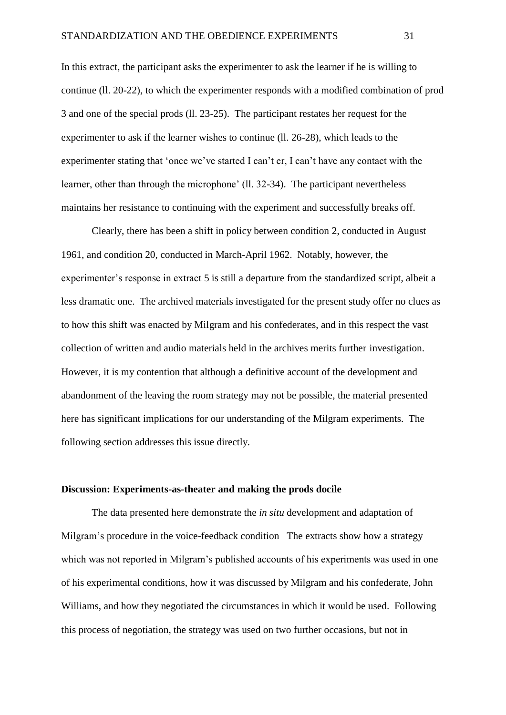In this extract, the participant asks the experimenter to ask the learner if he is willing to continue (ll. 20-22), to which the experimenter responds with a modified combination of prod 3 and one of the special prods (ll. 23-25). The participant restates her request for the experimenter to ask if the learner wishes to continue (ll. 26-28), which leads to the experimenter stating that 'once we've started I can't er, I can't have any contact with the learner, other than through the microphone' (ll. 32-34). The participant nevertheless maintains her resistance to continuing with the experiment and successfully breaks off.

Clearly, there has been a shift in policy between condition 2, conducted in August 1961, and condition 20, conducted in March-April 1962. Notably, however, the experimenter's response in extract 5 is still a departure from the standardized script, albeit a less dramatic one. The archived materials investigated for the present study offer no clues as to how this shift was enacted by Milgram and his confederates, and in this respect the vast collection of written and audio materials held in the archives merits further investigation. However, it is my contention that although a definitive account of the development and abandonment of the leaving the room strategy may not be possible, the material presented here has significant implications for our understanding of the Milgram experiments. The following section addresses this issue directly.

## **Discussion: Experiments-as-theater and making the prods docile**

The data presented here demonstrate the *in situ* development and adaptation of Milgram's procedure in the voice-feedback condition The extracts show how a strategy which was not reported in Milgram's published accounts of his experiments was used in one of his experimental conditions, how it was discussed by Milgram and his confederate, John Williams, and how they negotiated the circumstances in which it would be used. Following this process of negotiation, the strategy was used on two further occasions, but not in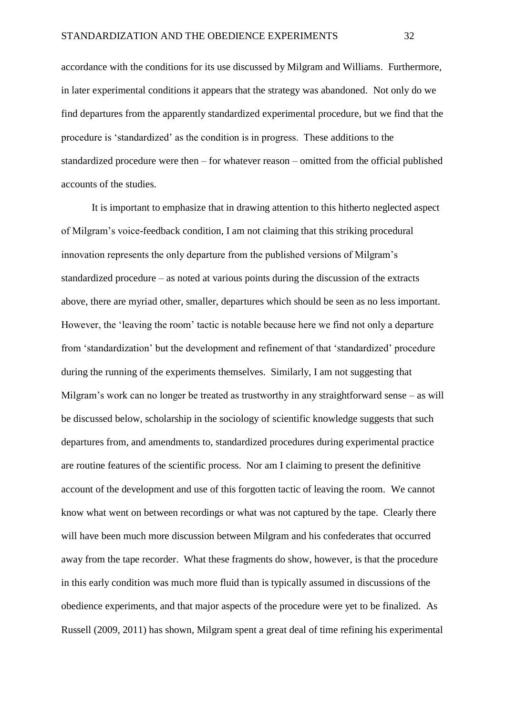accordance with the conditions for its use discussed by Milgram and Williams. Furthermore, in later experimental conditions it appears that the strategy was abandoned. Not only do we find departures from the apparently standardized experimental procedure, but we find that the procedure is 'standardized' as the condition is in progress. These additions to the standardized procedure were then – for whatever reason – omitted from the official published accounts of the studies.

It is important to emphasize that in drawing attention to this hitherto neglected aspect of Milgram's voice-feedback condition, I am not claiming that this striking procedural innovation represents the only departure from the published versions of Milgram's standardized procedure – as noted at various points during the discussion of the extracts above, there are myriad other, smaller, departures which should be seen as no less important. However, the 'leaving the room' tactic is notable because here we find not only a departure from 'standardization' but the development and refinement of that 'standardized' procedure during the running of the experiments themselves. Similarly, I am not suggesting that Milgram's work can no longer be treated as trustworthy in any straightforward sense – as will be discussed below, scholarship in the sociology of scientific knowledge suggests that such departures from, and amendments to, standardized procedures during experimental practice are routine features of the scientific process. Nor am I claiming to present the definitive account of the development and use of this forgotten tactic of leaving the room. We cannot know what went on between recordings or what was not captured by the tape. Clearly there will have been much more discussion between Milgram and his confederates that occurred away from the tape recorder. What these fragments do show, however, is that the procedure in this early condition was much more fluid than is typically assumed in discussions of the obedience experiments, and that major aspects of the procedure were yet to be finalized. As Russell (2009, 2011) has shown, Milgram spent a great deal of time refining his experimental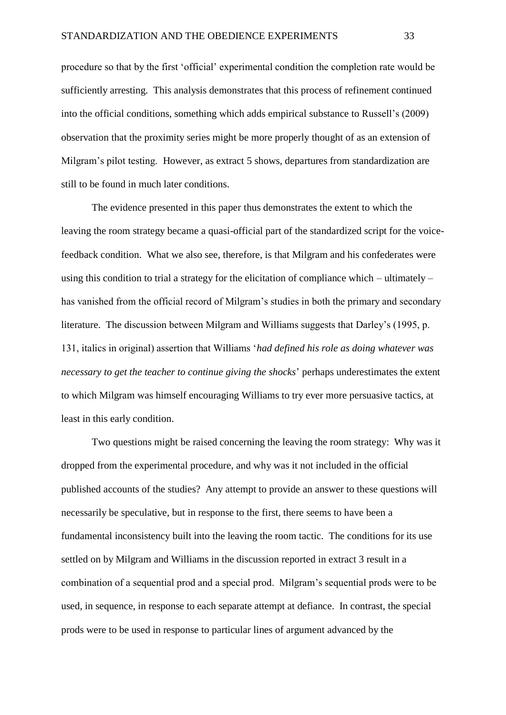procedure so that by the first 'official' experimental condition the completion rate would be sufficiently arresting. This analysis demonstrates that this process of refinement continued into the official conditions, something which adds empirical substance to Russell's (2009) observation that the proximity series might be more properly thought of as an extension of Milgram's pilot testing. However, as extract 5 shows, departures from standardization are still to be found in much later conditions.

The evidence presented in this paper thus demonstrates the extent to which the leaving the room strategy became a quasi-official part of the standardized script for the voicefeedback condition. What we also see, therefore, is that Milgram and his confederates were using this condition to trial a strategy for the elicitation of compliance which – ultimately – has vanished from the official record of Milgram's studies in both the primary and secondary literature. The discussion between Milgram and Williams suggests that Darley's (1995, p. 131, italics in original) assertion that Williams '*had defined his role as doing whatever was necessary to get the teacher to continue giving the shocks*' perhaps underestimates the extent to which Milgram was himself encouraging Williams to try ever more persuasive tactics, at least in this early condition.

Two questions might be raised concerning the leaving the room strategy: Why was it dropped from the experimental procedure, and why was it not included in the official published accounts of the studies? Any attempt to provide an answer to these questions will necessarily be speculative, but in response to the first, there seems to have been a fundamental inconsistency built into the leaving the room tactic. The conditions for its use settled on by Milgram and Williams in the discussion reported in extract 3 result in a combination of a sequential prod and a special prod. Milgram's sequential prods were to be used, in sequence, in response to each separate attempt at defiance. In contrast, the special prods were to be used in response to particular lines of argument advanced by the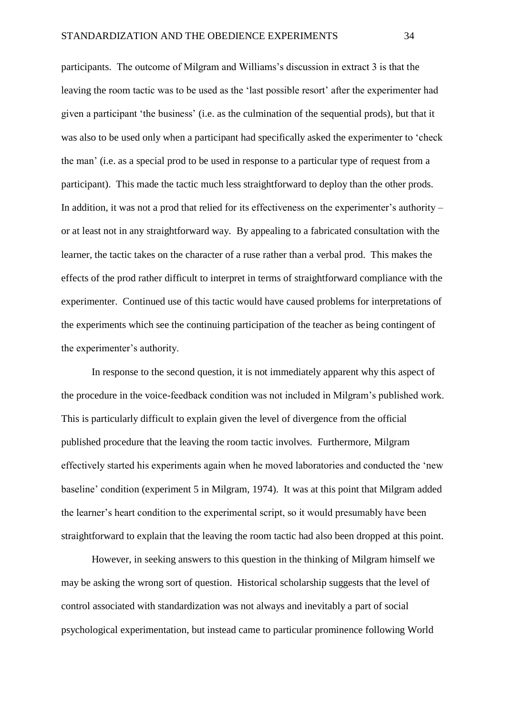participants. The outcome of Milgram and Williams's discussion in extract 3 is that the leaving the room tactic was to be used as the 'last possible resort' after the experimenter had given a participant 'the business' (i.e. as the culmination of the sequential prods), but that it was also to be used only when a participant had specifically asked the experimenter to 'check the man' (i.e. as a special prod to be used in response to a particular type of request from a participant). This made the tactic much less straightforward to deploy than the other prods. In addition, it was not a prod that relied for its effectiveness on the experimenter's authority – or at least not in any straightforward way. By appealing to a fabricated consultation with the learner, the tactic takes on the character of a ruse rather than a verbal prod. This makes the effects of the prod rather difficult to interpret in terms of straightforward compliance with the experimenter. Continued use of this tactic would have caused problems for interpretations of the experiments which see the continuing participation of the teacher as being contingent of the experimenter's authority.

In response to the second question, it is not immediately apparent why this aspect of the procedure in the voice-feedback condition was not included in Milgram's published work. This is particularly difficult to explain given the level of divergence from the official published procedure that the leaving the room tactic involves. Furthermore, Milgram effectively started his experiments again when he moved laboratories and conducted the 'new baseline' condition (experiment 5 in Milgram, 1974). It was at this point that Milgram added the learner's heart condition to the experimental script, so it would presumably have been straightforward to explain that the leaving the room tactic had also been dropped at this point.

However, in seeking answers to this question in the thinking of Milgram himself we may be asking the wrong sort of question. Historical scholarship suggests that the level of control associated with standardization was not always and inevitably a part of social psychological experimentation, but instead came to particular prominence following World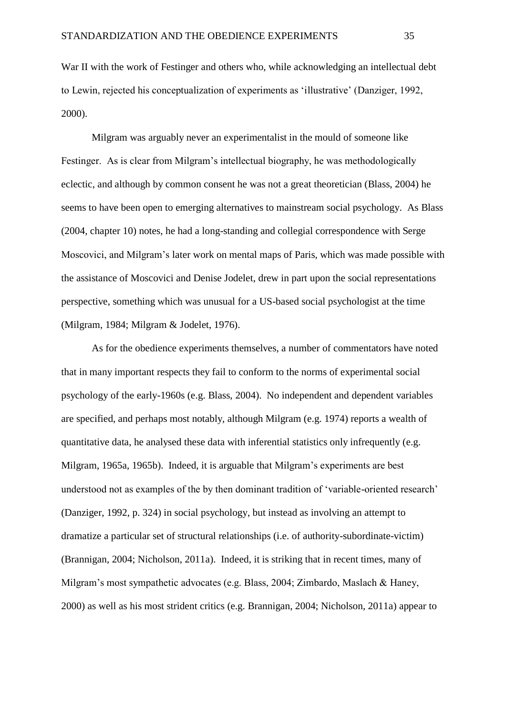War II with the work of Festinger and others who, while acknowledging an intellectual debt to Lewin, rejected his conceptualization of experiments as 'illustrative' (Danziger, 1992, 2000).

Milgram was arguably never an experimentalist in the mould of someone like Festinger. As is clear from Milgram's intellectual biography, he was methodologically eclectic, and although by common consent he was not a great theoretician (Blass, 2004) he seems to have been open to emerging alternatives to mainstream social psychology. As Blass (2004, chapter 10) notes, he had a long-standing and collegial correspondence with Serge Moscovici, and Milgram's later work on mental maps of Paris, which was made possible with the assistance of Moscovici and Denise Jodelet, drew in part upon the social representations perspective, something which was unusual for a US-based social psychologist at the time (Milgram, 1984; Milgram & Jodelet, 1976).

As for the obedience experiments themselves, a number of commentators have noted that in many important respects they fail to conform to the norms of experimental social psychology of the early-1960s (e.g. Blass, 2004). No independent and dependent variables are specified, and perhaps most notably, although Milgram (e.g. 1974) reports a wealth of quantitative data, he analysed these data with inferential statistics only infrequently (e.g. Milgram, 1965a, 1965b). Indeed, it is arguable that Milgram's experiments are best understood not as examples of the by then dominant tradition of 'variable-oriented research' (Danziger, 1992, p. 324) in social psychology, but instead as involving an attempt to dramatize a particular set of structural relationships (i.e. of authority-subordinate-victim) (Brannigan, 2004; Nicholson, 2011a). Indeed, it is striking that in recent times, many of Milgram's most sympathetic advocates (e.g. Blass, 2004; Zimbardo, Maslach & Haney, 2000) as well as his most strident critics (e.g. Brannigan, 2004; Nicholson, 2011a) appear to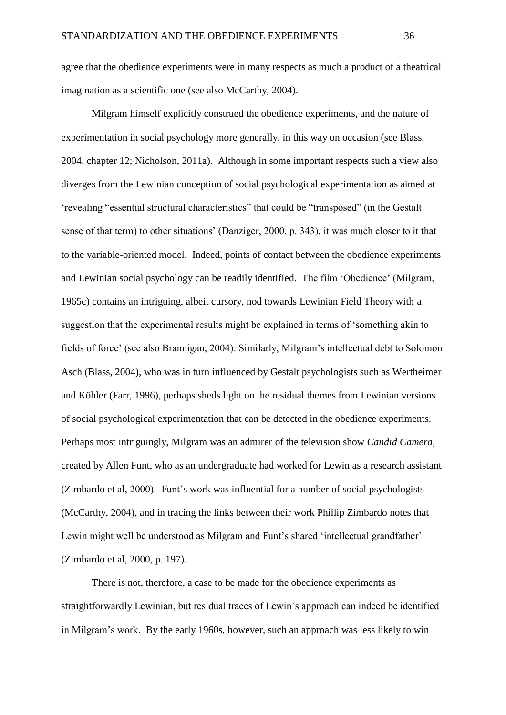agree that the obedience experiments were in many respects as much a product of a theatrical imagination as a scientific one (see also McCarthy, 2004).

Milgram himself explicitly construed the obedience experiments, and the nature of experimentation in social psychology more generally, in this way on occasion (see Blass, 2004, chapter 12; Nicholson, 2011a). Although in some important respects such a view also diverges from the Lewinian conception of social psychological experimentation as aimed at 'revealing "essential structural characteristics" that could be "transposed" (in the Gestalt sense of that term) to other situations' (Danziger, 2000, p. 343), it was much closer to it that to the variable-oriented model. Indeed, points of contact between the obedience experiments and Lewinian social psychology can be readily identified. The film 'Obedience' (Milgram, 1965c) contains an intriguing, albeit cursory, nod towards Lewinian Field Theory with a suggestion that the experimental results might be explained in terms of 'something akin to fields of force' (see also Brannigan, 2004). Similarly, Milgram's intellectual debt to Solomon Asch (Blass, 2004), who was in turn influenced by Gestalt psychologists such as Wertheimer and Köhler (Farr, 1996), perhaps sheds light on the residual themes from Lewinian versions of social psychological experimentation that can be detected in the obedience experiments. Perhaps most intriguingly, Milgram was an admirer of the television show *Candid Camera*, created by Allen Funt, who as an undergraduate had worked for Lewin as a research assistant (Zimbardo et al, 2000). Funt's work was influential for a number of social psychologists (McCarthy, 2004), and in tracing the links between their work Phillip Zimbardo notes that Lewin might well be understood as Milgram and Funt's shared 'intellectual grandfather' (Zimbardo et al, 2000, p. 197).

There is not, therefore, a case to be made for the obedience experiments as straightforwardly Lewinian, but residual traces of Lewin's approach can indeed be identified in Milgram's work. By the early 1960s, however, such an approach was less likely to win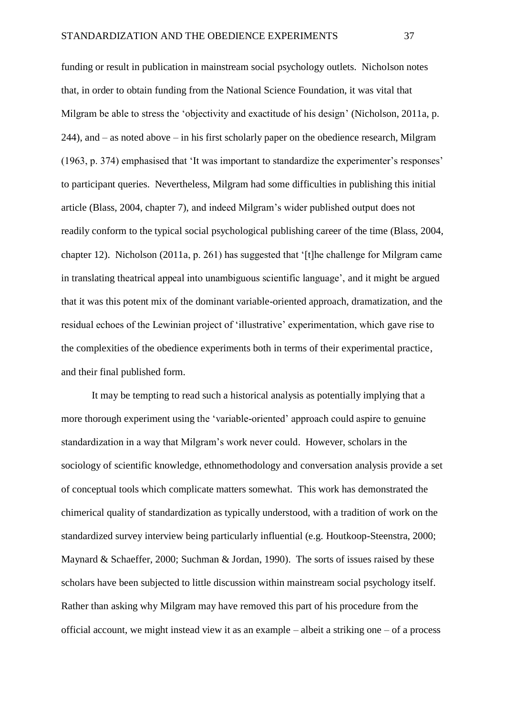funding or result in publication in mainstream social psychology outlets. Nicholson notes that, in order to obtain funding from the National Science Foundation, it was vital that Milgram be able to stress the 'objectivity and exactitude of his design' (Nicholson, 2011a, p. 244), and – as noted above – in his first scholarly paper on the obedience research, Milgram (1963, p. 374) emphasised that 'It was important to standardize the experimenter's responses' to participant queries. Nevertheless, Milgram had some difficulties in publishing this initial article (Blass, 2004, chapter 7), and indeed Milgram's wider published output does not readily conform to the typical social psychological publishing career of the time (Blass, 2004, chapter 12). Nicholson (2011a, p. 261) has suggested that '[t]he challenge for Milgram came in translating theatrical appeal into unambiguous scientific language', and it might be argued that it was this potent mix of the dominant variable-oriented approach, dramatization, and the residual echoes of the Lewinian project of 'illustrative' experimentation, which gave rise to the complexities of the obedience experiments both in terms of their experimental practice, and their final published form.

It may be tempting to read such a historical analysis as potentially implying that a more thorough experiment using the 'variable-oriented' approach could aspire to genuine standardization in a way that Milgram's work never could. However, scholars in the sociology of scientific knowledge, ethnomethodology and conversation analysis provide a set of conceptual tools which complicate matters somewhat. This work has demonstrated the chimerical quality of standardization as typically understood, with a tradition of work on the standardized survey interview being particularly influential (e.g. Houtkoop-Steenstra, 2000; Maynard & Schaeffer, 2000; Suchman & Jordan, 1990). The sorts of issues raised by these scholars have been subjected to little discussion within mainstream social psychology itself. Rather than asking why Milgram may have removed this part of his procedure from the official account, we might instead view it as an example – albeit a striking one – of a process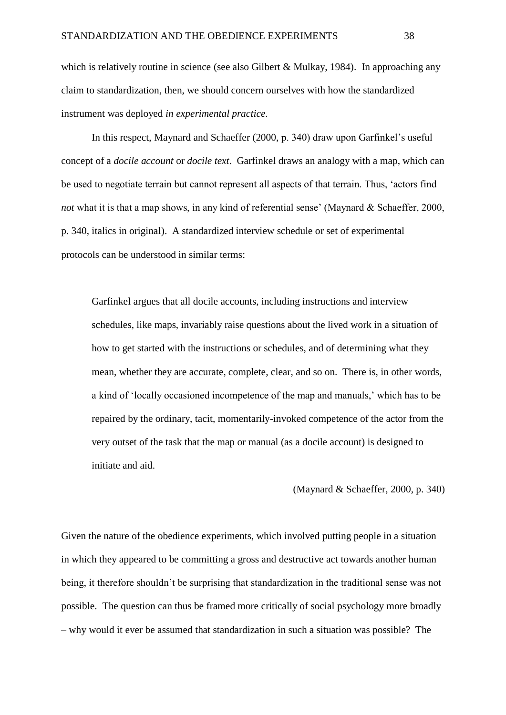which is relatively routine in science (see also Gilbert & Mulkay, 1984). In approaching any claim to standardization, then, we should concern ourselves with how the standardized instrument was deployed *in experimental practice.*

In this respect, Maynard and Schaeffer (2000, p. 340) draw upon Garfinkel's useful concept of a *docile account* or *docile text*. Garfinkel draws an analogy with a map, which can be used to negotiate terrain but cannot represent all aspects of that terrain. Thus, 'actors find *not* what it is that a map shows, in any kind of referential sense' (Maynard & Schaeffer, 2000, p. 340, italics in original). A standardized interview schedule or set of experimental protocols can be understood in similar terms:

Garfinkel argues that all docile accounts, including instructions and interview schedules, like maps, invariably raise questions about the lived work in a situation of how to get started with the instructions or schedules, and of determining what they mean, whether they are accurate, complete, clear, and so on. There is, in other words, a kind of 'locally occasioned incompetence of the map and manuals,' which has to be repaired by the ordinary, tacit, momentarily-invoked competence of the actor from the very outset of the task that the map or manual (as a docile account) is designed to initiate and aid.

(Maynard & Schaeffer, 2000, p. 340)

Given the nature of the obedience experiments, which involved putting people in a situation in which they appeared to be committing a gross and destructive act towards another human being, it therefore shouldn't be surprising that standardization in the traditional sense was not possible. The question can thus be framed more critically of social psychology more broadly – why would it ever be assumed that standardization in such a situation was possible? The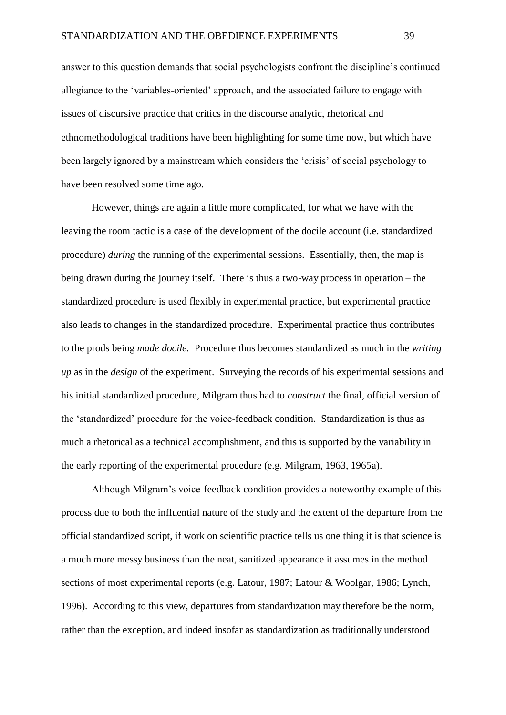answer to this question demands that social psychologists confront the discipline's continued allegiance to the 'variables-oriented' approach, and the associated failure to engage with issues of discursive practice that critics in the discourse analytic, rhetorical and ethnomethodological traditions have been highlighting for some time now, but which have been largely ignored by a mainstream which considers the 'crisis' of social psychology to have been resolved some time ago.

However, things are again a little more complicated, for what we have with the leaving the room tactic is a case of the development of the docile account (i.e. standardized procedure) *during* the running of the experimental sessions. Essentially, then, the map is being drawn during the journey itself. There is thus a two-way process in operation – the standardized procedure is used flexibly in experimental practice, but experimental practice also leads to changes in the standardized procedure. Experimental practice thus contributes to the prods being *made docile.* Procedure thus becomes standardized as much in the *writing up* as in the *design* of the experiment. Surveying the records of his experimental sessions and his initial standardized procedure, Milgram thus had to *construct* the final, official version of the 'standardized' procedure for the voice-feedback condition. Standardization is thus as much a rhetorical as a technical accomplishment, and this is supported by the variability in the early reporting of the experimental procedure (e.g. Milgram, 1963, 1965a).

Although Milgram's voice-feedback condition provides a noteworthy example of this process due to both the influential nature of the study and the extent of the departure from the official standardized script, if work on scientific practice tells us one thing it is that science is a much more messy business than the neat, sanitized appearance it assumes in the method sections of most experimental reports (e.g. Latour, 1987; Latour & Woolgar, 1986; Lynch, 1996). According to this view, departures from standardization may therefore be the norm, rather than the exception, and indeed insofar as standardization as traditionally understood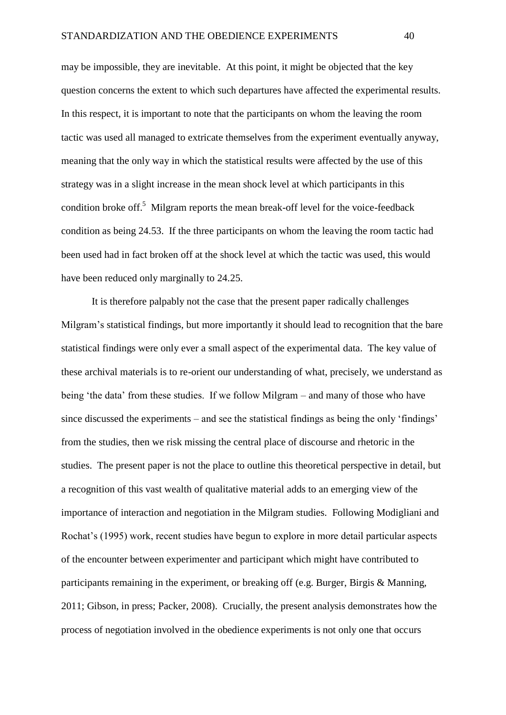may be impossible, they are inevitable. At this point, it might be objected that the key question concerns the extent to which such departures have affected the experimental results. In this respect, it is important to note that the participants on whom the leaving the room tactic was used all managed to extricate themselves from the experiment eventually anyway, meaning that the only way in which the statistical results were affected by the use of this strategy was in a slight increase in the mean shock level at which participants in this condition broke off.<sup>5</sup> Milgram reports the mean break-off level for the voice-feedback condition as being 24.53. If the three participants on whom the leaving the room tactic had been used had in fact broken off at the shock level at which the tactic was used, this would have been reduced only marginally to 24.25.

It is therefore palpably not the case that the present paper radically challenges Milgram's statistical findings, but more importantly it should lead to recognition that the bare statistical findings were only ever a small aspect of the experimental data. The key value of these archival materials is to re-orient our understanding of what, precisely, we understand as being 'the data' from these studies. If we follow Milgram – and many of those who have since discussed the experiments – and see the statistical findings as being the only 'findings' from the studies, then we risk missing the central place of discourse and rhetoric in the studies. The present paper is not the place to outline this theoretical perspective in detail, but a recognition of this vast wealth of qualitative material adds to an emerging view of the importance of interaction and negotiation in the Milgram studies. Following Modigliani and Rochat's (1995) work, recent studies have begun to explore in more detail particular aspects of the encounter between experimenter and participant which might have contributed to participants remaining in the experiment, or breaking off (e.g. Burger, Birgis & Manning, 2011; Gibson, in press; Packer, 2008). Crucially, the present analysis demonstrates how the process of negotiation involved in the obedience experiments is not only one that occurs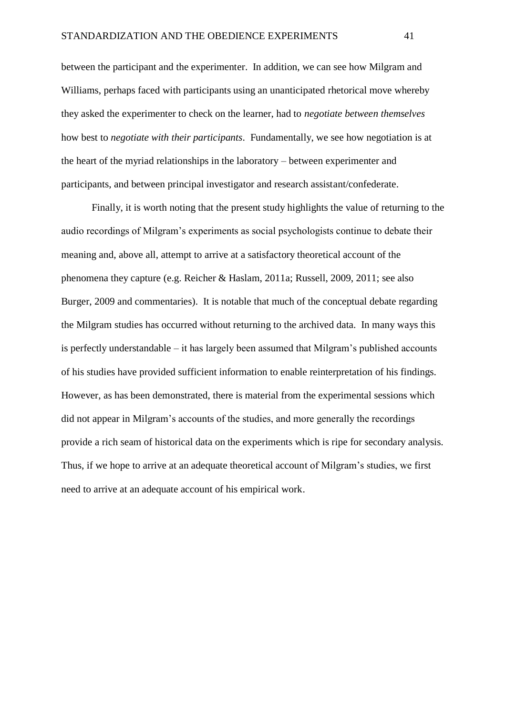between the participant and the experimenter. In addition, we can see how Milgram and Williams, perhaps faced with participants using an unanticipated rhetorical move whereby they asked the experimenter to check on the learner, had to *negotiate between themselves* how best to *negotiate with their participants*. Fundamentally, we see how negotiation is at the heart of the myriad relationships in the laboratory – between experimenter and participants, and between principal investigator and research assistant/confederate.

Finally, it is worth noting that the present study highlights the value of returning to the audio recordings of Milgram's experiments as social psychologists continue to debate their meaning and, above all, attempt to arrive at a satisfactory theoretical account of the phenomena they capture (e.g. Reicher & Haslam, 2011a; Russell, 2009, 2011; see also Burger, 2009 and commentaries). It is notable that much of the conceptual debate regarding the Milgram studies has occurred without returning to the archived data. In many ways this is perfectly understandable – it has largely been assumed that Milgram's published accounts of his studies have provided sufficient information to enable reinterpretation of his findings. However, as has been demonstrated, there is material from the experimental sessions which did not appear in Milgram's accounts of the studies, and more generally the recordings provide a rich seam of historical data on the experiments which is ripe for secondary analysis. Thus, if we hope to arrive at an adequate theoretical account of Milgram's studies, we first need to arrive at an adequate account of his empirical work.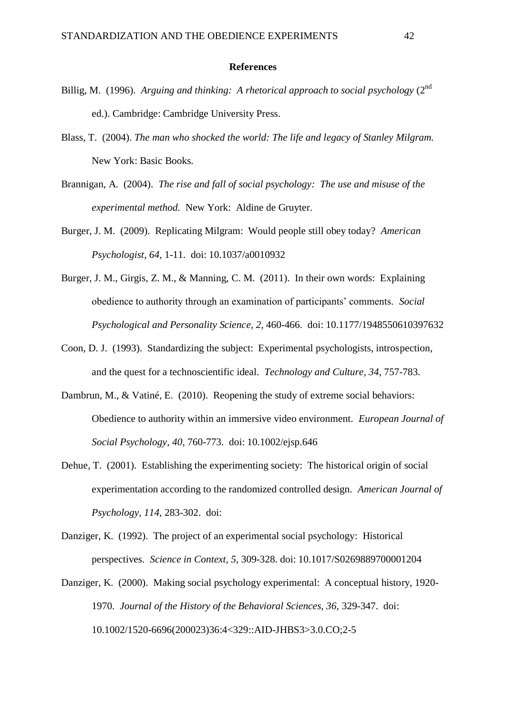#### **References**

- Billig, M. (1996). *Arguing and thinking: A rhetorical approach to social psychology* (2nd ed.). Cambridge: Cambridge University Press.
- Blass, T. (2004). *The man who shocked the world: The life and legacy of Stanley Milgram.*  New York: Basic Books.
- Brannigan, A. (2004). *The rise and fall of social psychology: The use and misuse of the experimental method.* New York: Aldine de Gruyter.
- Burger, J. M. (2009). Replicating Milgram: Would people still obey today? *American Psychologist, 64,* 1-11. doi: 10.1037/a0010932
- Burger, J. M., Girgis, Z. M., & Manning, C. M. (2011). In their own words: Explaining obedience to authority through an examination of participants' comments. *Social Psychological and Personality Science, 2,* 460-466. doi: 10.1177/1948550610397632
- Coon, D. J. (1993). Standardizing the subject: Experimental psychologists, introspection, and the quest for a technoscientific ideal. *Technology and Culture, 34,* 757-783.
- Dambrun, M., & Vatiné, E. (2010). Reopening the study of extreme social behaviors: Obedience to authority within an immersive video environment. *European Journal of Social Psychology, 40,* 760-773. doi: 10.1002/ejsp.646
- Dehue, T. (2001). Establishing the experimenting society: The historical origin of social experimentation according to the randomized controlled design. *American Journal of Psychology, 114,* 283-302. doi:
- Danziger, K. (1992). The project of an experimental social psychology: Historical perspectives. *Science in Context, 5,* 309-328. doi: 10.1017/S0269889700001204
- Danziger, K. (2000). Making social psychology experimental: A conceptual history, 1920- 1970. *Journal of the History of the Behavioral Sciences, 36,* 329-347. doi: 10.1002/1520-6696(200023)36:4<329::AID-JHBS3>3.0.CO;2-5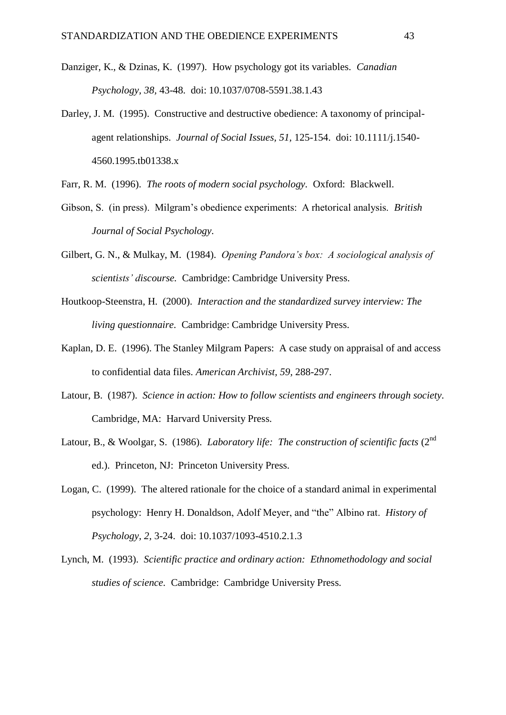- Danziger, K., & Dzinas, K. (1997). How psychology got its variables. *Canadian Psychology, 38,* 43-48. doi: 10.1037/0708-5591.38.1.43
- Darley, J. M. (1995). Constructive and destructive obedience: A taxonomy of principalagent relationships. *Journal of Social Issues, 51,* 125-154. doi: 10.1111/j.1540- 4560.1995.tb01338.x
- Farr, R. M. (1996). *The roots of modern social psychology.* Oxford: Blackwell.
- Gibson, S. (in press). Milgram's obedience experiments: A rhetorical analysis. *British Journal of Social Psychology.*
- Gilbert, G. N., & Mulkay, M. (1984). *Opening Pandora's box: A sociological analysis of scientists' discourse.* Cambridge: Cambridge University Press.
- Houtkoop-Steenstra, H. (2000). *Interaction and the standardized survey interview: The living questionnaire.* Cambridge: Cambridge University Press.
- Kaplan, D. E. (1996). The Stanley Milgram Papers: A case study on appraisal of and access to confidential data files. *American Archivist, 59,* 288-297.
- Latour, B. (1987). *Science in action: How to follow scientists and engineers through society.*  Cambridge, MA: Harvard University Press.
- Latour, B., & Woolgar, S. (1986). *Laboratory life: The construction of scientific facts* (2<sup>nd</sup> ed.).Princeton, NJ: Princeton University Press.
- Logan, C. (1999). The altered rationale for the choice of a standard animal in experimental psychology: Henry H. Donaldson, Adolf Meyer, and "the" Albino rat. *History of Psychology, 2,* 3-24. doi: 10.1037/1093-4510.2.1.3
- Lynch, M. (1993). *Scientific practice and ordinary action: Ethnomethodology and social studies of science.* Cambridge: Cambridge University Press.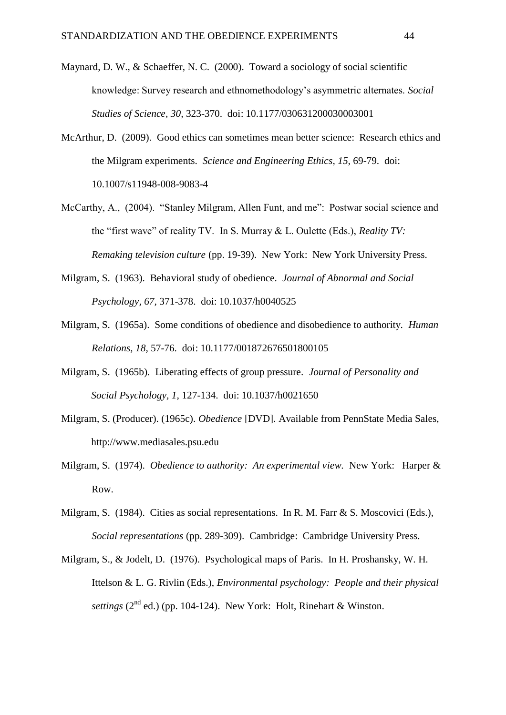- Maynard, D. W., & Schaeffer, N. C. (2000). Toward a sociology of social scientific knowledge: Survey research and ethnomethodology's asymmetric alternates. *Social Studies of Science, 30,* 323-370. doi: 10.1177/030631200030003001
- McArthur, D. (2009). Good ethics can sometimes mean better science: Research ethics and the Milgram experiments. *Science and Engineering Ethics, 15,* 69-79. doi: 10.1007/s11948-008-9083-4
- McCarthy, A., (2004). "Stanley Milgram, Allen Funt, and me": Postwar social science and the "first wave" of reality TV. In S. Murray & L. Oulette (Eds.), *Reality TV: Remaking television culture* (pp. 19-39). New York: New York University Press.
- Milgram, S. (1963). Behavioral study of obedience. *Journal of Abnormal and Social Psychology, 67,* 371-378. doi: 10.1037/h0040525
- Milgram, S. (1965a). Some conditions of obedience and disobedience to authority. *Human Relations, 18,* 57-76. doi: 10.1177/001872676501800105
- Milgram, S. (1965b). Liberating effects of group pressure. *Journal of Personality and Social Psychology, 1,* 127-134. doi: 10.1037/h0021650
- Milgram, S. (Producer). (1965c). *Obedience* [DVD]. Available from PennState Media Sales, http://www.mediasales.psu.edu
- Milgram, S. (1974). *Obedience to authority: An experimental view.* New York: Harper & Row.
- Milgram, S. (1984). Cities as social representations. In R. M. Farr & S. Moscovici (Eds.), *Social representations* (pp. 289-309). Cambridge: Cambridge University Press.
- Milgram, S., & Jodelt, D. (1976). Psychological maps of Paris. In H. Proshansky, W. H. Ittelson & L. G. Rivlin (Eds.), *Environmental psychology: People and their physical settings*  $(2^{nd}$  ed.) (pp. 104-124). New York: Holt, Rinehart & Winston.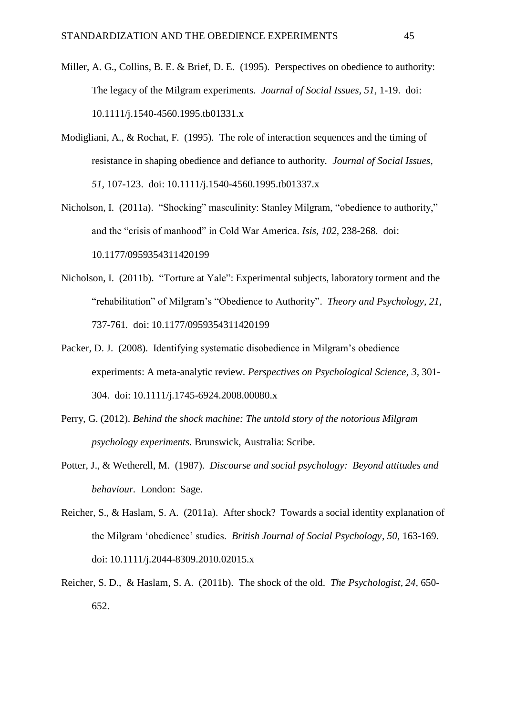- Miller, A. G., Collins, B. E. & Brief, D. E. (1995). Perspectives on obedience to authority: The legacy of the Milgram experiments. *Journal of Social Issues, 51,* 1-19. doi: 10.1111/j.1540-4560.1995.tb01331.x
- Modigliani, A., & Rochat, F. (1995). The role of interaction sequences and the timing of resistance in shaping obedience and defiance to authority. *Journal of Social Issues, 51,* 107-123. doi: 10.1111/j.1540-4560.1995.tb01337.x
- Nicholson, I. (2011a). "Shocking" masculinity: Stanley Milgram, "obedience to authority," and the "crisis of manhood" in Cold War America. *Isis, 102,* 238-268. doi: 10.1177/0959354311420199
- Nicholson, I. (2011b). "Torture at Yale": Experimental subjects, laboratory torment and the "rehabilitation" of Milgram's "Obedience to Authority". *Theory and Psychology, 21,*  737-761*.* doi: 10.1177/0959354311420199
- Packer, D. J. (2008). Identifying systematic disobedience in Milgram's obedience experiments: A meta-analytic review. *Perspectives on Psychological Science, 3,* 301- 304. doi: 10.1111/j.1745-6924.2008.00080.x
- Perry, G. (2012). *Behind the shock machine: The untold story of the notorious Milgram psychology experiments.* Brunswick, Australia: Scribe.
- Potter, J., & Wetherell, M. (1987). *Discourse and social psychology: Beyond attitudes and behaviour.* London: Sage.
- Reicher, S., & Haslam, S. A. (2011a). After shock? Towards a social identity explanation of the Milgram 'obedience' studies. *British Journal of Social Psychology, 50,* 163-169. doi: 10.1111/j.2044-8309.2010.02015.x
- Reicher, S. D., & Haslam, S. A. (2011b). The shock of the old. *The Psychologist, 24,* 650- 652.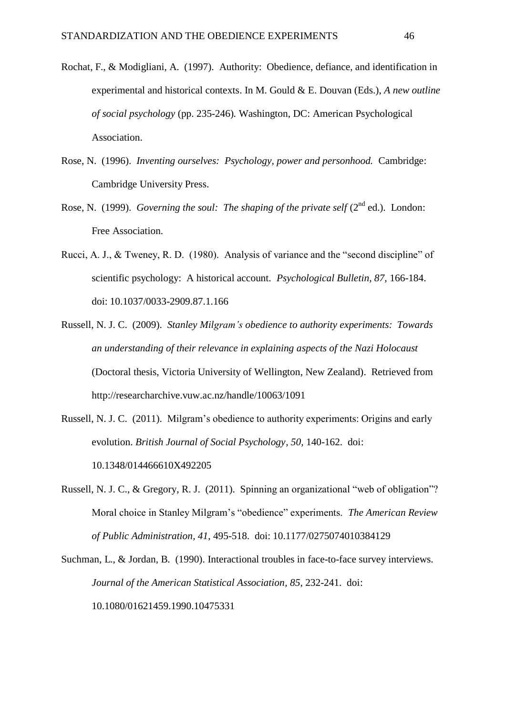- Rochat, F., & Modigliani, A. (1997). Authority: Obedience, defiance, and identification in experimental and historical contexts. In M. Gould & E. Douvan (Eds.), *A new outline of social psychology* (pp. 235-246)*.* Washington, DC: American Psychological Association.
- Rose, N. (1996). *Inventing ourselves: Psychology, power and personhood.* Cambridge: Cambridge University Press.
- Rose, N. (1999). *Governing the soul: The shaping of the private self* (2<sup>nd</sup> ed.). London: Free Association.
- Rucci, A. J., & Tweney, R. D. (1980). Analysis of variance and the "second discipline" of scientific psychology: A historical account. *Psychological Bulletin, 87,* 166-184. doi: 10.1037/0033-2909.87.1.166
- Russell, N. J. C. (2009). *Stanley Milgram's obedience to authority experiments: Towards an understanding of their relevance in explaining aspects of the Nazi Holocaust* (Doctoral thesis, Victoria University of Wellington, New Zealand). Retrieved from http://researcharchive.vuw.ac.nz/handle/10063/1091
- Russell, N. J. C. (2011). Milgram's obedience to authority experiments: Origins and early evolution. *British Journal of Social Psychology, 50,* 140-162. doi: 10.1348/014466610X492205
- Russell, N. J. C., & Gregory, R. J. (2011). Spinning an organizational "web of obligation"? Moral choice in Stanley Milgram's "obedience" experiments. *The American Review of Public Administration, 41,* 495-518. doi: 10.1177/0275074010384129
- Suchman, L., & Jordan, B. (1990). Interactional troubles in face-to-face survey interviews. *Journal of the American Statistical Association, 85,* 232-241. doi: 10.1080/01621459.1990.10475331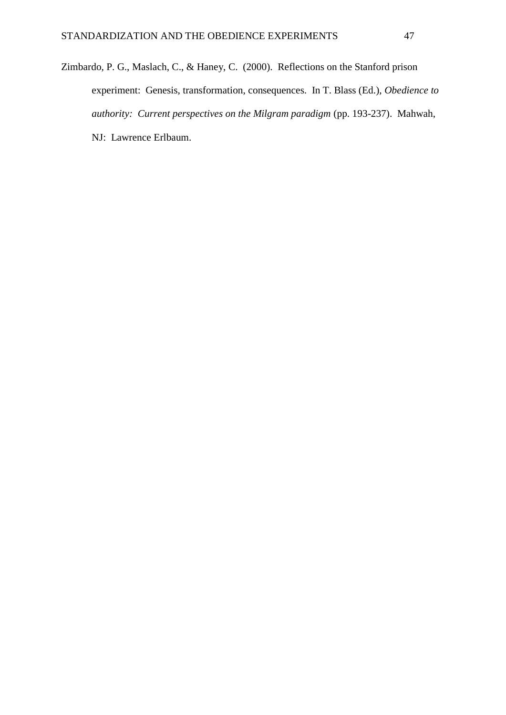Zimbardo, P. G., Maslach, C., & Haney, C. (2000). Reflections on the Stanford prison experiment: Genesis, transformation, consequences. In T. Blass (Ed.), *Obedience to authority: Current perspectives on the Milgram paradigm* (pp. 193-237). Mahwah, NJ: Lawrence Erlbaum.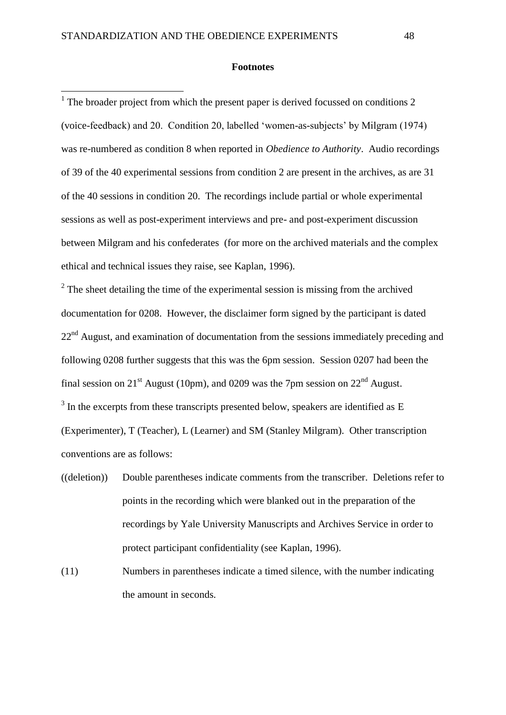<u>.</u>

### **Footnotes**

<sup>1</sup> The broader project from which the present paper is derived focussed on conditions 2 (voice-feedback) and 20. Condition 20, labelled 'women-as-subjects' by Milgram (1974) was re-numbered as condition 8 when reported in *Obedience to Authority*. Audio recordings of 39 of the 40 experimental sessions from condition 2 are present in the archives, as are 31 of the 40 sessions in condition 20. The recordings include partial or whole experimental sessions as well as post-experiment interviews and pre- and post-experiment discussion between Milgram and his confederates (for more on the archived materials and the complex ethical and technical issues they raise, see Kaplan, 1996).

 $2^2$  The sheet detailing the time of the experimental session is missing from the archived documentation for 0208. However, the disclaimer form signed by the participant is dated  $22<sup>nd</sup>$  August, and examination of documentation from the sessions immediately preceding and following 0208 further suggests that this was the 6pm session. Session 0207 had been the final session on 21<sup>st</sup> August (10pm), and 0209 was the 7pm session on 22<sup>nd</sup> August.  $3$  In the excerpts from these transcripts presented below, speakers are identified as E (Experimenter), T (Teacher), L (Learner) and SM (Stanley Milgram). Other transcription conventions are as follows:

- ((deletion)) Double parentheses indicate comments from the transcriber. Deletions refer to points in the recording which were blanked out in the preparation of the recordings by Yale University Manuscripts and Archives Service in order to protect participant confidentiality (see Kaplan, 1996).
- (11) Numbers in parentheses indicate a timed silence, with the number indicating the amount in seconds.